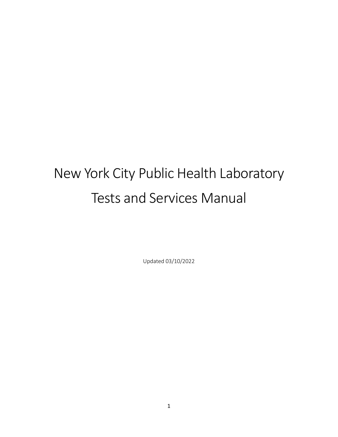# New York City Public Health Laboratory Tests and Services Manual

Updated 03/10/2022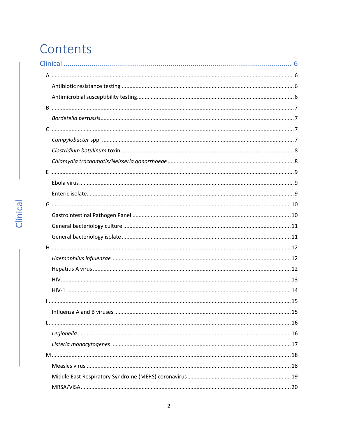## Contents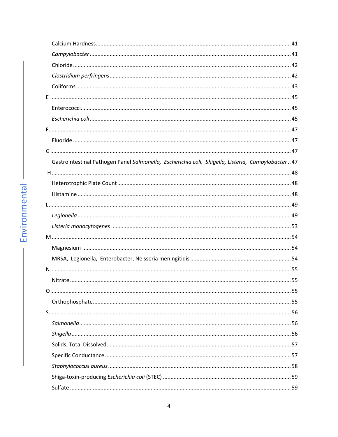| Gastrointestinal Pathogen Panel Salmonella, Escherichia coli, Shigella, Listeria, Campylobacter47 |  |
|---------------------------------------------------------------------------------------------------|--|
|                                                                                                   |  |
|                                                                                                   |  |
|                                                                                                   |  |
|                                                                                                   |  |
|                                                                                                   |  |
|                                                                                                   |  |
|                                                                                                   |  |
|                                                                                                   |  |
|                                                                                                   |  |
|                                                                                                   |  |
|                                                                                                   |  |
|                                                                                                   |  |
|                                                                                                   |  |
|                                                                                                   |  |
|                                                                                                   |  |
|                                                                                                   |  |
|                                                                                                   |  |
|                                                                                                   |  |
|                                                                                                   |  |
|                                                                                                   |  |
|                                                                                                   |  |
|                                                                                                   |  |

ï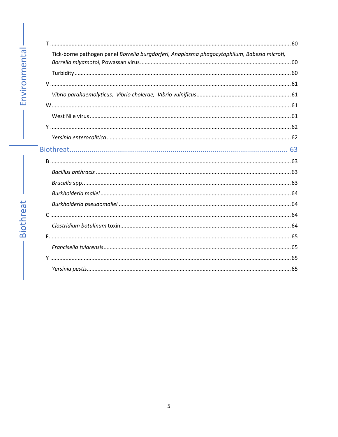| Tick-borne pathogen panel Borrelia burgdorferi, Anaplasma phagocytophilum, Babesia microti, |  |
|---------------------------------------------------------------------------------------------|--|
|                                                                                             |  |
|                                                                                             |  |
|                                                                                             |  |
|                                                                                             |  |
|                                                                                             |  |
|                                                                                             |  |
|                                                                                             |  |
|                                                                                             |  |
|                                                                                             |  |
|                                                                                             |  |
|                                                                                             |  |
|                                                                                             |  |
|                                                                                             |  |
|                                                                                             |  |
|                                                                                             |  |
|                                                                                             |  |
|                                                                                             |  |
|                                                                                             |  |
|                                                                                             |  |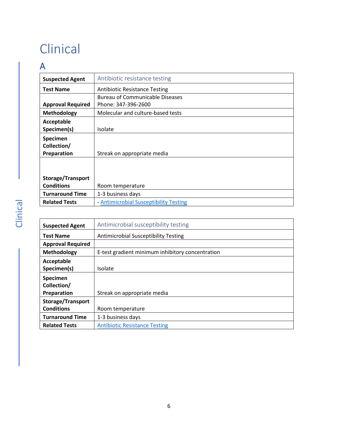# <span id="page-5-0"></span>Clinical

### <span id="page-5-1"></span>A

<span id="page-5-2"></span>

| <b>Suspected Agent</b>   | Antibiotic resistance testing          |
|--------------------------|----------------------------------------|
|                          |                                        |
| <b>Test Name</b>         | <b>Antibiotic Resistance Testing</b>   |
|                          | <b>Bureau of Communicable Diseases</b> |
| <b>Approval Required</b> | Phone: 347-396-2600                    |
| <b>Methodology</b>       | Molecular and culture-based tests      |
| Acceptable               |                                        |
| Specimen(s)              | Isolate                                |
| <b>Specimen</b>          |                                        |
| Collection/              |                                        |
| Preparation              | Streak on appropriate media            |
|                          |                                        |
|                          |                                        |
| <b>Storage/Transport</b> |                                        |
| <b>Conditions</b>        | Room temperature                       |
| <b>Turnaround Time</b>   | 1-3 business days                      |
| <b>Related Tests</b>     | - Antimicrobial Susceptibility Testing |

<span id="page-5-3"></span>

| <b>Suspected Agent</b>   | Antimicrobial susceptibility testing             |
|--------------------------|--------------------------------------------------|
| <b>Test Name</b>         | <b>Antimicrobial Susceptibility Testing</b>      |
| <b>Approval Required</b> |                                                  |
| Methodology              | E-test gradient minimum inhibitory concentration |
| Acceptable               |                                                  |
| Specimen(s)              | Isolate                                          |
| Specimen                 |                                                  |
| Collection/              |                                                  |
| Preparation              | Streak on appropriate media                      |
| <b>Storage/Transport</b> |                                                  |
| <b>Conditions</b>        | Room temperature                                 |
| <b>Turnaround Time</b>   | 1-3 business days                                |
| <b>Related Tests</b>     | <b>Antibiotic Resistance Testing</b>             |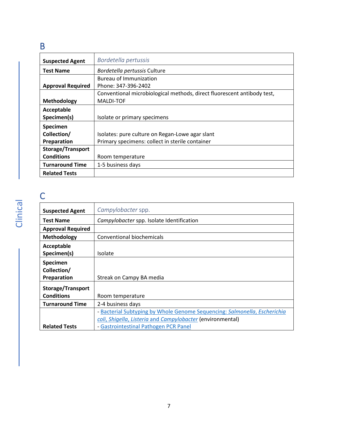### <span id="page-6-0"></span>B

<span id="page-6-1"></span>

| <b>Suspected Agent</b>   | Bordetella pertussis                                                    |
|--------------------------|-------------------------------------------------------------------------|
| <b>Test Name</b>         | Bordetella pertussis Culture                                            |
|                          | <b>Bureau of Immunization</b>                                           |
| <b>Approval Required</b> | Phone: 347-396-2402                                                     |
|                          | Conventional microbiological methods, direct fluorescent antibody test, |
| Methodology              | <b>MALDI-TOF</b>                                                        |
| Acceptable               |                                                                         |
| Specimen(s)              | Isolate or primary specimens                                            |
| Specimen                 |                                                                         |
| Collection/              | Isolates: pure culture on Regan-Lowe agar slant                         |
| Preparation              | Primary specimens: collect in sterile container                         |
| <b>Storage/Transport</b> |                                                                         |
| <b>Conditions</b>        | Room temperature                                                        |
| <b>Turnaround Time</b>   | 1-5 business days                                                       |
| <b>Related Tests</b>     |                                                                         |

# <span id="page-6-2"></span>C

<span id="page-6-3"></span>

| <b>Suspected Agent</b>   | Campylobacter spp.                                                        |
|--------------------------|---------------------------------------------------------------------------|
| <b>Test Name</b>         | Campylobacter spp. Isolate Identification                                 |
| <b>Approval Required</b> |                                                                           |
| <b>Methodology</b>       | Conventional biochemicals                                                 |
| Acceptable               |                                                                           |
| Specimen(s)              | Isolate                                                                   |
| <b>Specimen</b>          |                                                                           |
| Collection/              |                                                                           |
| Preparation              | Streak on Campy BA media                                                  |
| <b>Storage/Transport</b> |                                                                           |
| <b>Conditions</b>        | Room temperature                                                          |
| <b>Turnaround Time</b>   | 2-4 business days                                                         |
|                          | - Bacterial Subtyping by Whole Genome Sequencing: Salmonella, Escherichia |
|                          | coli, Shigella, Listeria and Campylobacter (environmental)                |
| <b>Related Tests</b>     | - Gastrointestinal Pathogen PCR Panel                                     |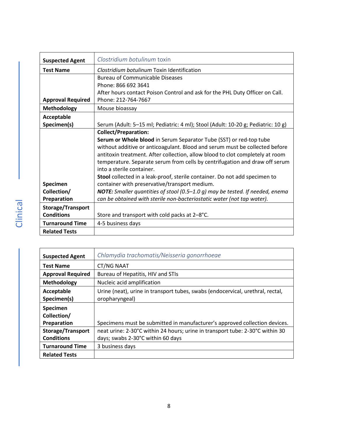<span id="page-7-0"></span>

| <b>Suspected Agent</b>   | Clostridium botulinum toxin                                                                              |
|--------------------------|----------------------------------------------------------------------------------------------------------|
| <b>Test Name</b>         | Clostridium botulinum Toxin Identification                                                               |
|                          | <b>Bureau of Communicable Diseases</b>                                                                   |
|                          | Phone: 866 692 3641                                                                                      |
|                          | After hours contact Poison Control and ask for the PHL Duty Officer on Call.                             |
| <b>Approval Required</b> | Phone: 212-764-7667                                                                                      |
| <b>Methodology</b>       | Mouse bioassay                                                                                           |
| Acceptable               |                                                                                                          |
| Specimen(s)              | Serum (Adult: 5-15 ml; Pediatric: 4 ml); Stool (Adult: 10-20 g; Pediatric: 10 g)                         |
|                          | <b>Collect/Preparation:</b>                                                                              |
|                          | Serum or Whole blood in Serum Separator Tube (SST) or red-top tube                                       |
|                          | without additive or anticoagulant. Blood and serum must be collected before                              |
|                          | antitoxin treatment. After collection, allow blood to clot completely at room                            |
|                          | temperature. Separate serum from cells by centrifugation and draw off serum<br>into a sterile container. |
|                          | Stool collected in a leak-proof, sterile container. Do not add specimen to                               |
| Specimen                 | container with preservative/transport medium.                                                            |
| Collection/              | <b>NOTE:</b> Smaller quantities of stool (0.5–1.0 g) may be tested. If needed, enema                     |
| Preparation              | can be obtained with sterile non-bacteriostatic water (not tap water).                                   |
| Storage/Transport        |                                                                                                          |
| <b>Conditions</b>        | Store and transport with cold packs at 2-8°C.                                                            |
| <b>Turnaround Time</b>   | 4-5 business days                                                                                        |
| <b>Related Tests</b>     |                                                                                                          |

<span id="page-7-1"></span>

| <b>Suspected Agent</b>   | Chlamydia trachomatis/Neisseria gonorrhoeae                                    |
|--------------------------|--------------------------------------------------------------------------------|
| <b>Test Name</b>         | CT/NG NAAT                                                                     |
| <b>Approval Required</b> | Bureau of Hepatitis, HIV and STIs                                              |
| Methodology              | Nucleic acid amplification                                                     |
| Acceptable               | Urine (neat), urine in transport tubes, swabs (endocervical, urethral, rectal, |
| Specimen(s)              | oropharyngeal)                                                                 |
| Specimen                 |                                                                                |
| Collection/              |                                                                                |
| Preparation              | Specimens must be submitted in manufacturer's approved collection devices.     |
| Storage/Transport        | neat urine: 2-30°C within 24 hours; urine in transport tube: 2-30°C within 30  |
| <b>Conditions</b>        | days; swabs 2-30°C within 60 days                                              |
| <b>Turnaround Time</b>   | 3 business days                                                                |
| <b>Related Tests</b>     |                                                                                |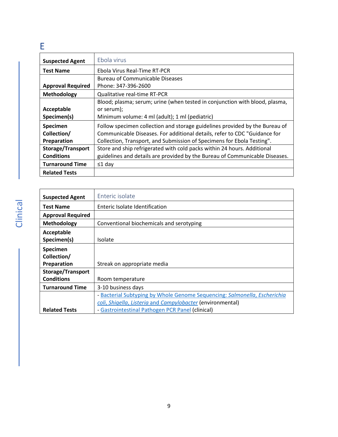### <span id="page-8-0"></span>E

<span id="page-8-1"></span>

| <b>Suspected Agent</b>   | Ebola virus                                                                 |
|--------------------------|-----------------------------------------------------------------------------|
| <b>Test Name</b>         | Ebola Virus Real-Time RT-PCR                                                |
|                          | <b>Bureau of Communicable Diseases</b>                                      |
| <b>Approval Required</b> | Phone: 347-396-2600                                                         |
| Methodology              | <b>Qualitative real-time RT-PCR</b>                                         |
|                          | Blood; plasma; serum; urine (when tested in conjunction with blood, plasma, |
| Acceptable               | or serum);                                                                  |
| Specimen(s)              | Minimum volume: 4 ml (adult); 1 ml (pediatric)                              |
| Specimen                 | Follow specimen collection and storage guidelines provided by the Bureau of |
| Collection/              | Communicable Diseases. For additional details, refer to CDC "Guidance for   |
| Preparation              | Collection, Transport, and Submission of Specimens for Ebola Testing".      |
| <b>Storage/Transport</b> | Store and ship refrigerated with cold packs within 24 hours. Additional     |
| <b>Conditions</b>        | guidelines and details are provided by the Bureau of Communicable Diseases. |
| <b>Turnaround Time</b>   | $\leq 1$ day                                                                |
| <b>Related Tests</b>     |                                                                             |

<span id="page-8-2"></span>

| <b>Suspected Agent</b>   | Enteric isolate                                                           |
|--------------------------|---------------------------------------------------------------------------|
| <b>Test Name</b>         | Enteric Isolate Identification                                            |
| <b>Approval Required</b> |                                                                           |
| Methodology              | Conventional biochemicals and serotyping                                  |
| Acceptable               |                                                                           |
| Specimen(s)              | <b>Isolate</b>                                                            |
| Specimen                 |                                                                           |
| Collection/              |                                                                           |
| Preparation              | Streak on appropriate media                                               |
| <b>Storage/Transport</b> |                                                                           |
| <b>Conditions</b>        | Room temperature                                                          |
| <b>Turnaround Time</b>   | 3-10 business days                                                        |
|                          | - Bacterial Subtyping by Whole Genome Sequencing: Salmonella, Escherichia |
|                          | coli, Shigella, Listeria and Campylobacter (environmental)                |
| <b>Related Tests</b>     | - Gastrointestinal Pathogen PCR Panel (clinical)                          |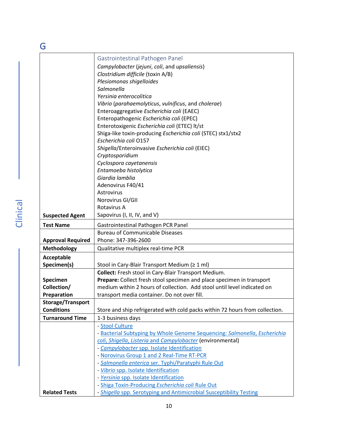<span id="page-9-1"></span><span id="page-9-0"></span>

| G                        |                                                                              |
|--------------------------|------------------------------------------------------------------------------|
|                          | Gastrointestinal Pathogen Panel                                              |
|                          | Campylobacter (jejuni, coli, and upsaliensis)                                |
|                          | Clostridium difficile (toxin A/B)                                            |
|                          | Plesiomonas shigelloides                                                     |
|                          | Salmonella                                                                   |
|                          | Yersinia enterocolitica                                                      |
|                          | Vibrio (parahaemolyticus, vulnificus, and cholerae)                          |
|                          | Enteroaggregative Escherichia coli (EAEC)                                    |
|                          | Enteropathogenic Escherichia coli (EPEC)                                     |
|                          | Enterotoxigenic Escherichia coli (ETEC) lt/st                                |
|                          | Shiga-like toxin-producing Escherichia coli (STEC) stx1/stx2                 |
|                          | Escherichia coli 0157                                                        |
|                          | Shigella/Enteroinvasive Escherichia coli (EIEC)                              |
|                          | Cryptosporidium                                                              |
|                          | Cyclospora cayetanensis                                                      |
|                          | Entamoeba histolytica                                                        |
|                          | Giardia lamblia                                                              |
|                          | Adenovirus F40/41                                                            |
|                          | Astrovirus                                                                   |
|                          | Norovirus GI/GII                                                             |
|                          | Rotavirus A                                                                  |
| <b>Suspected Agent</b>   | Sapovirus (I, II, IV, and V)                                                 |
| <b>Test Name</b>         | Gastrointestinal Pathogen PCR Panel                                          |
|                          | <b>Bureau of Communicable Diseases</b>                                       |
| <b>Approval Required</b> | Phone: 347-396-2600                                                          |
| <b>Methodology</b>       | Qualitative multiplex real-time PCR                                          |
| Acceptable               |                                                                              |
| Specimen(s)              | Stool in Cary-Blair Transport Medium (≥ 1 ml)                                |
|                          | Collect: Fresh stool in Cary-Blair Transport Medium.                         |
| Specimen                 | Prepare: Collect fresh stool specimen and place specimen in transport        |
| Collection/              | medium within 2 hours of collection. Add stool until level indicated on      |
| Preparation              | transport media container. Do not over fill.                                 |
| Storage/Transport        |                                                                              |
| <b>Conditions</b>        | Store and ship refrigerated with cold packs within 72 hours from collection. |
| <b>Turnaround Time</b>   | 1-3 business days                                                            |
|                          | - Stool Culture                                                              |
|                          | - Bacterial Subtyping by Whole Genome Sequencing: Salmonella, Escherichia    |
|                          | coli, Shigella, Listeria and Campylobacter (environmental)                   |
|                          | - Campylobacter spp. Isolate Identification                                  |
|                          | - Norovirus Group 1 and 2 Real-Time RT-PCR                                   |
|                          | - Salmonella enterica ser. Typhi/Paratyphi Rule Out                          |
|                          | - Vibrio spp. Isolate Identification                                         |
|                          | - Yersinia spp. Isolate Identification                                       |
|                          | - Shiga Toxin-Producing Escherichia coli Rule Out                            |
| <b>Related Tests</b>     | - Shigella spp. Serotyping and Antimicrobial Susceptibility Testing          |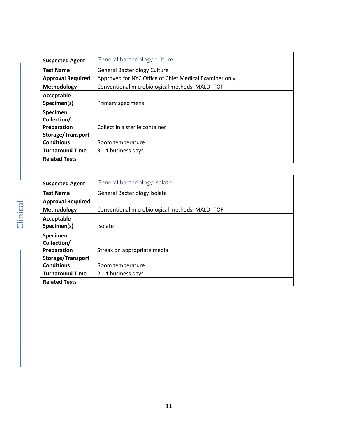<span id="page-10-0"></span>

| <b>Suspected Agent</b>   | General bacteriology culture                           |
|--------------------------|--------------------------------------------------------|
| <b>Test Name</b>         | <b>General Bacteriology Culture</b>                    |
| <b>Approval Required</b> | Approved for NYC Office of Chief Medical Examiner only |
| Methodology              | Conventional microbiological methods, MALDI-TOF        |
| Acceptable               |                                                        |
| Specimen(s)              | Primary specimens                                      |
| Specimen                 |                                                        |
| Collection/              |                                                        |
| Preparation              | Collect in a sterile container                         |
| Storage/Transport        |                                                        |
| <b>Conditions</b>        | Room temperature                                       |
| <b>Turnaround Time</b>   | 3-14 business days                                     |
| <b>Related Tests</b>     |                                                        |

<span id="page-10-1"></span>

| <b>Suspected Agent</b>   | General bacteriology isolate                    |
|--------------------------|-------------------------------------------------|
| <b>Test Name</b>         | <b>General Bacteriology Isolate</b>             |
| <b>Approval Required</b> |                                                 |
| Methodology              | Conventional microbiological methods, MALDI-TOF |
| Acceptable               |                                                 |
| Specimen(s)              | Isolate                                         |
| Specimen                 |                                                 |
| Collection/              |                                                 |
| Preparation              | Streak on appropriate media                     |
| Storage/Transport        |                                                 |
| <b>Conditions</b>        | Room temperature                                |
| <b>Turnaround Time</b>   | 2-14 business days                              |
| <b>Related Tests</b>     |                                                 |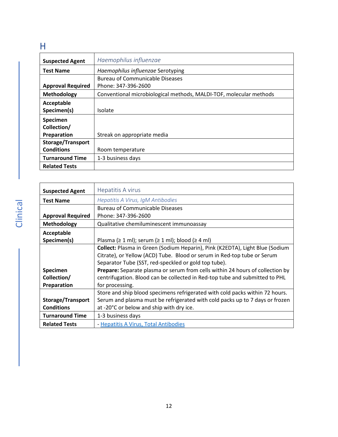### <span id="page-11-0"></span>H

<span id="page-11-1"></span>

| <b>Suspected Agent</b>   | Haemophilus influenzae                                             |
|--------------------------|--------------------------------------------------------------------|
| <b>Test Name</b>         | Haemophilus influenzae Serotyping                                  |
|                          | <b>Bureau of Communicable Diseases</b>                             |
| <b>Approval Required</b> | Phone: 347-396-2600                                                |
| Methodology              | Conventional microbiological methods, MALDI-TOF, molecular methods |
| Acceptable               |                                                                    |
| Specimen(s)              | Isolate                                                            |
| Specimen                 |                                                                    |
| Collection/              |                                                                    |
| Preparation              | Streak on appropriate media                                        |
| Storage/Transport        |                                                                    |
| <b>Conditions</b>        | Room temperature                                                   |
| <b>Turnaround Time</b>   | 1-3 business days                                                  |
| <b>Related Tests</b>     |                                                                    |

<span id="page-11-2"></span>

| <b>Suspected Agent</b>   | Hepatitis A virus                                                                    |
|--------------------------|--------------------------------------------------------------------------------------|
| <b>Test Name</b>         | Hepatitis A Virus, IgM Antibodies                                                    |
|                          | <b>Bureau of Communicable Diseases</b>                                               |
| <b>Approval Required</b> | Phone: 347-396-2600                                                                  |
| <b>Methodology</b>       | Qualitative chemiluminescent immunoassay                                             |
| Acceptable               |                                                                                      |
| Specimen(s)              | Plasma ( $\geq 1$ ml); serum ( $\geq 1$ ml); blood ( $\geq 4$ ml)                    |
|                          | Collect: Plasma in Green (Sodium Heparin), Pink (K2EDTA), Light Blue (Sodium         |
|                          | Citrate), or Yellow (ACD) Tube. Blood or serum in Red-top tube or Serum              |
|                          | Separator Tube (SST, red-speckled or gold top tube).                                 |
| <b>Specimen</b>          | <b>Prepare:</b> Separate plasma or serum from cells within 24 hours of collection by |
| Collection/              | centrifugation. Blood can be collected in Red-top tube and submitted to PHL          |
| Preparation              | for processing.                                                                      |
|                          | Store and ship blood specimens refrigerated with cold packs within 72 hours.         |
| Storage/Transport        | Serum and plasma must be refrigerated with cold packs up to 7 days or frozen         |
| <b>Conditions</b>        | at -20°C or below and ship with dry ice.                                             |
| <b>Turnaround Time</b>   | 1-3 business days                                                                    |
| <b>Related Tests</b>     | - Hepatitis A Virus, Total Antibodies                                                |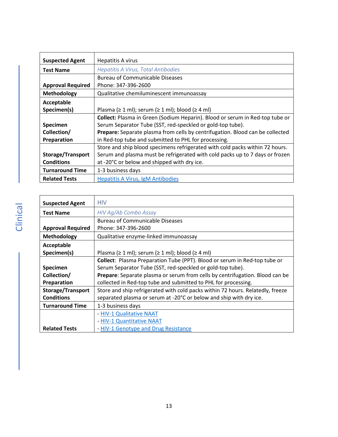<span id="page-12-1"></span>

| <b>Suspected Agent</b>   | <b>Hepatitis A virus</b>                                                      |
|--------------------------|-------------------------------------------------------------------------------|
| <b>Test Name</b>         | Hepatitis A Virus, Total Antibodies                                           |
|                          | <b>Bureau of Communicable Diseases</b>                                        |
| <b>Approval Required</b> | Phone: 347-396-2600                                                           |
| <b>Methodology</b>       | Qualitative chemiluminescent immunoassay                                      |
| Acceptable               |                                                                               |
| Specimen(s)              | Plasma ( $\geq 1$ ml); serum ( $\geq 1$ ml); blood ( $\geq 4$ ml)             |
|                          | Collect: Plasma in Green (Sodium Heparin). Blood or serum in Red-top tube or  |
| <b>Specimen</b>          | Serum Separator Tube (SST, red-speckled or gold-top tube).                    |
| Collection/              | Prepare: Separate plasma from cells by centrifugation. Blood can be collected |
| <b>Preparation</b>       | in Red-top tube and submitted to PHL for processing.                          |
|                          | Store and ship blood specimens refrigerated with cold packs within 72 hours.  |
| <b>Storage/Transport</b> | Serum and plasma must be refrigerated with cold packs up to 7 days or frozen  |
| <b>Conditions</b>        | at -20°C or below and shipped with dry ice.                                   |
| <b>Turnaround Time</b>   | 1-3 business days                                                             |
| <b>Related Tests</b>     | <b>Hepatitis A Virus, IgM Antibodies</b>                                      |

<span id="page-12-0"></span>

| <b>Suspected Agent</b>   | <b>HIV</b>                                                                       |
|--------------------------|----------------------------------------------------------------------------------|
| <b>Test Name</b>         | HIV Ag/Ab Combo Assay                                                            |
|                          | <b>Bureau of Communicable Diseases</b>                                           |
| <b>Approval Required</b> | Phone: 347-396-2600                                                              |
| Methodology              | Qualitative enzyme-linked immunoassay                                            |
| Acceptable               |                                                                                  |
| Specimen(s)              | Plasma ( $\geq 1$ ml); serum ( $\geq 1$ ml); blood ( $\geq 4$ ml)                |
|                          | <b>Collect:</b> Plasma Preparation Tube (PPT). Blood or serum in Red-top tube or |
| <b>Specimen</b>          | Serum Separator Tube (SST, red-speckled or gold-top tube).                       |
| Collection/              | Prepare: Separate plasma or serum from cells by centrifugation. Blood can be     |
| Preparation              | collected in Red-top tube and submitted to PHL for processing.                   |
| <b>Storage/Transport</b> | Store and ship refrigerated with cold packs within 72 hours. Relatedly, freeze   |
| <b>Conditions</b>        | separated plasma or serum at -20°C or below and ship with dry ice.               |
| <b>Turnaround Time</b>   | 1-3 business days                                                                |
|                          | - HIV-1 Qualitative NAAT                                                         |
|                          | - HIV-1 Quantitative NAAT                                                        |
| <b>Related Tests</b>     | - HIV-1 Genotype and Drug Resistance                                             |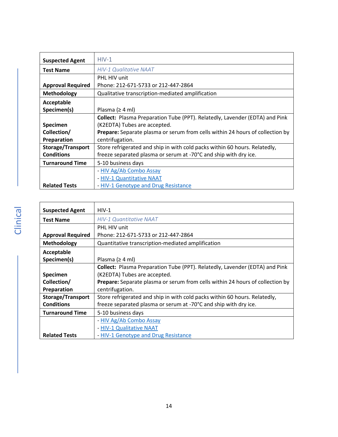<span id="page-13-1"></span><span id="page-13-0"></span>

| <b>Suspected Agent</b>   | $HIV-1$                                                                              |
|--------------------------|--------------------------------------------------------------------------------------|
| <b>Test Name</b>         | <b>HIV-1 Qualitative NAAT</b>                                                        |
|                          | PHL HIV unit                                                                         |
| <b>Approval Required</b> | Phone: 212-671-5733 or 212-447-2864                                                  |
| <b>Methodology</b>       | Qualitative transcription-mediated amplification                                     |
| Acceptable               |                                                                                      |
| Specimen(s)              | Plasma ( $\geq 4$ ml)                                                                |
|                          | <b>Collect:</b> Plasma Preparation Tube (PPT). Relatedly, Lavender (EDTA) and Pink   |
| <b>Specimen</b>          | (K2EDTA) Tubes are accepted.                                                         |
| Collection/              | <b>Prepare:</b> Separate plasma or serum from cells within 24 hours of collection by |
| Preparation              | centrifugation.                                                                      |
| <b>Storage/Transport</b> | Store refrigerated and ship in with cold packs within 60 hours. Relatedly,           |
| <b>Conditions</b>        | freeze separated plasma or serum at -70°C and ship with dry ice.                     |
| <b>Turnaround Time</b>   | 5-10 business days                                                                   |
|                          | - HIV Ag/Ab Combo Assay                                                              |
|                          | - HIV-1 Quantitative NAAT                                                            |
| <b>Related Tests</b>     | - HIV-1 Genotype and Drug Resistance                                                 |

<span id="page-13-2"></span>

| <b>Suspected Agent</b>   | $HIV-1$                                                                              |
|--------------------------|--------------------------------------------------------------------------------------|
| <b>Test Name</b>         | <b>HIV-1 Quantitative NAAT</b>                                                       |
|                          | PHL HIV unit                                                                         |
| <b>Approval Required</b> | Phone: 212-671-5733 or 212-447-2864                                                  |
| <b>Methodology</b>       | Quantitative transcription-mediated amplification                                    |
| Acceptable               |                                                                                      |
| Specimen(s)              | Plasma ( $\geq 4$ ml)                                                                |
|                          | <b>Collect:</b> Plasma Preparation Tube (PPT). Relatedly, Lavender (EDTA) and Pink   |
| <b>Specimen</b>          | (K2EDTA) Tubes are accepted.                                                         |
| Collection/              | <b>Prepare:</b> Separate plasma or serum from cells within 24 hours of collection by |
| Preparation              | centrifugation.                                                                      |
| <b>Storage/Transport</b> | Store refrigerated and ship in with cold packs within 60 hours. Relatedly,           |
| <b>Conditions</b>        | freeze separated plasma or serum at -70°C and ship with dry ice.                     |
| <b>Turnaround Time</b>   | 5-10 business days                                                                   |
|                          | - HIV Ag/Ab Combo Assay                                                              |
|                          | - HIV-1 Qualitative NAAT                                                             |
| <b>Related Tests</b>     | - HIV-1 Genotype and Drug Resistance                                                 |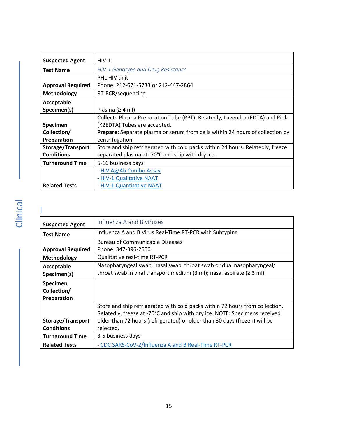<span id="page-14-2"></span>

| <b>Suspected Agent</b>   | $HIV-1$                                                                              |
|--------------------------|--------------------------------------------------------------------------------------|
| <b>Test Name</b>         | HIV-1 Genotype and Drug Resistance                                                   |
|                          | PHL HIV unit                                                                         |
| <b>Approval Required</b> | Phone: 212-671-5733 or 212-447-2864                                                  |
| <b>Methodology</b>       | RT-PCR/sequencing                                                                    |
| Acceptable               |                                                                                      |
| Specimen(s)              | Plasma ( $\geq 4$ ml)                                                                |
|                          | <b>Collect:</b> Plasma Preparation Tube (PPT). Relatedly, Lavender (EDTA) and Pink   |
| <b>Specimen</b>          | (K2EDTA) Tubes are accepted.                                                         |
| Collection/              | <b>Prepare:</b> Separate plasma or serum from cells within 24 hours of collection by |
| Preparation              | centrifugation.                                                                      |
| <b>Storage/Transport</b> | Store and ship refrigerated with cold packs within 24 hours. Relatedly, freeze       |
| <b>Conditions</b>        | separated plasma at -70°C and ship with dry ice.                                     |
| <b>Turnaround Time</b>   | 5-16 business days                                                                   |
|                          | - HIV Ag/Ab Combo Assay                                                              |
|                          | - HIV-1 Qualitative NAAT                                                             |
| <b>Related Tests</b>     | - HIV-1 Quantitative NAAT                                                            |

<span id="page-14-1"></span><span id="page-14-0"></span>

| <b>Suspected Agent</b>   | Influenza A and B viruses                                                    |
|--------------------------|------------------------------------------------------------------------------|
| <b>Test Name</b>         | Influenza A and B Virus Real-Time RT-PCR with Subtyping                      |
|                          | Bureau of Communicable Diseases                                              |
| <b>Approval Required</b> | Phone: 347-396-2600                                                          |
| Methodology              | <b>Qualitative real-time RT-PCR</b>                                          |
| Acceptable               | Nasopharyngeal swab, nasal swab, throat swab or dual nasopharyngeal/         |
| Specimen(s)              | throat swab in viral transport medium (3 ml); nasal aspirate ( $\geq$ 3 ml)  |
| Specimen                 |                                                                              |
| Collection/              |                                                                              |
| Preparation              |                                                                              |
|                          | Store and ship refrigerated with cold packs within 72 hours from collection. |
|                          | Relatedly, freeze at -70°C and ship with dry ice. NOTE: Specimens received   |
| Storage/Transport        | older than 72 hours (refrigerated) or older than 30 days (frozen) will be    |
| <b>Conditions</b>        | rejected.                                                                    |
| <b>Turnaround Time</b>   | 3-5 business days                                                            |
| <b>Related Tests</b>     | - CDC SARS-CoV-2/Influenza A and B Real-Time RT-PCR                          |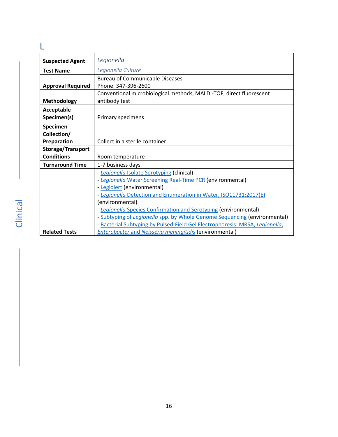<span id="page-15-1"></span><span id="page-15-0"></span>

| <b>Suspected Agent</b>   | Legionella                                                                   |
|--------------------------|------------------------------------------------------------------------------|
| <b>Test Name</b>         | Legionella Culture                                                           |
|                          | <b>Bureau of Communicable Diseases</b>                                       |
| <b>Approval Required</b> | Phone: 347-396-2600                                                          |
|                          | Conventional microbiological methods, MALDI-TOF, direct fluorescent          |
| <b>Methodology</b>       | antibody test                                                                |
| Acceptable               |                                                                              |
| Specimen(s)              | Primary specimens                                                            |
| Specimen                 |                                                                              |
| Collection/              |                                                                              |
| Preparation              | Collect in a sterile container                                               |
| Storage/Transport        |                                                                              |
| <b>Conditions</b>        | Room temperature                                                             |
| <b>Turnaround Time</b>   | 1-7 business days                                                            |
|                          | - Legionella Isolate Serotyping (clinical)                                   |
|                          | - Legionella Water Screening Real-Time PCR (environmental)                   |
|                          | - Legiolert (environmental)                                                  |
|                          | - Legionella Detection and Enumeration in Water, ISO11731:2017(E)            |
|                          | (environmental)                                                              |
|                          | - Legionella Species Confirmation and Serotyping (environmental)             |
|                          | - Subtyping of Legionella spp. by Whole Genome Sequencing (environmental)    |
|                          | - Bacterial Subtyping by Pulsed-Field Gel Electrophoresis: MRSA, Legionella, |
| <b>Related Tests</b>     | <b>Enterobacter and Neisseria meningitidis (environmental)</b>               |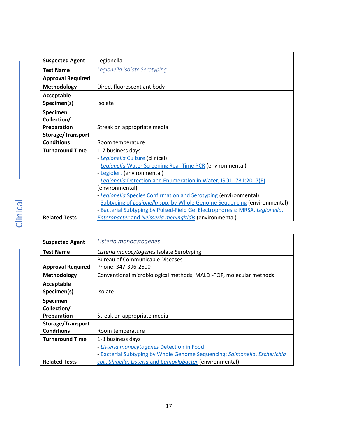<span id="page-16-1"></span>

| <b>Suspected Agent</b>   | Legionella                                                                   |
|--------------------------|------------------------------------------------------------------------------|
| <b>Test Name</b>         | Legionella Isolate Serotyping                                                |
| <b>Approval Required</b> |                                                                              |
| <b>Methodology</b>       | Direct fluorescent antibody                                                  |
| Acceptable               |                                                                              |
| Specimen(s)              | Isolate                                                                      |
| Specimen                 |                                                                              |
| Collection/              |                                                                              |
| Preparation              | Streak on appropriate media                                                  |
| <b>Storage/Transport</b> |                                                                              |
| <b>Conditions</b>        | Room temperature                                                             |
| <b>Turnaround Time</b>   | 1-7 business days                                                            |
|                          | - Legionella Culture (clinical)                                              |
|                          | - Legionella Water Screening Real-Time PCR (environmental)                   |
|                          | - Legiolert (environmental)                                                  |
|                          | - Legionella Detection and Enumeration in Water, ISO11731:2017(E)            |
|                          | (environmental)                                                              |
|                          | - Legionella Species Confirmation and Serotyping (environmental)             |
|                          | - Subtyping of Legionella spp. by Whole Genome Sequencing (environmental)    |
|                          | - Bacterial Subtyping by Pulsed-Field Gel Electrophoresis: MRSA, Legionella, |
| <b>Related Tests</b>     | Enterobacter and Neisseria meningitidis (environmental)                      |

<span id="page-16-0"></span>

| <b>Suspected Agent</b>   | Listeria monocytogenes                                                    |
|--------------------------|---------------------------------------------------------------------------|
| <b>Test Name</b>         | Listeria monocytogenes Isolate Serotyping                                 |
|                          | <b>Bureau of Communicable Diseases</b>                                    |
| <b>Approval Required</b> | Phone: 347-396-2600                                                       |
| <b>Methodology</b>       | Conventional microbiological methods, MALDI-TOF, molecular methods        |
| Acceptable               |                                                                           |
| Specimen(s)              | Isolate                                                                   |
| Specimen                 |                                                                           |
| Collection/              |                                                                           |
| Preparation              | Streak on appropriate media                                               |
| <b>Storage/Transport</b> |                                                                           |
| <b>Conditions</b>        | Room temperature                                                          |
| <b>Turnaround Time</b>   | 1-3 business days                                                         |
|                          | - Listeria monocytogenes Detection in Food                                |
|                          | - Bacterial Subtyping by Whole Genome Sequencing: Salmonella, Escherichia |
| <b>Related Tests</b>     | coli, Shigella, Listeria and Campylobacter (environmental)                |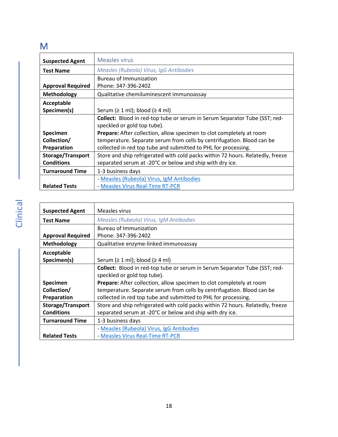### <span id="page-17-0"></span>M

<span id="page-17-3"></span><span id="page-17-1"></span>

| <b>Suspected Agent</b>   | Measles virus                                                                     |
|--------------------------|-----------------------------------------------------------------------------------|
| <b>Test Name</b>         | Measles (Rubeola) Virus, IgG Antibodies                                           |
|                          | <b>Bureau of Immunization</b>                                                     |
| <b>Approval Required</b> | Phone: 347-396-2402                                                               |
| <b>Methodology</b>       | Qualitative chemiluminescent immunoassay                                          |
| Acceptable               |                                                                                   |
| Specimen(s)              | Serum ( $\geq 1$ ml); blood ( $\geq 4$ ml)                                        |
|                          | <b>Collect:</b> Blood in red-top tube or serum in Serum Separator Tube (SST; red- |
|                          | speckled or gold top tube).                                                       |
| <b>Specimen</b>          | Prepare: After collection, allow specimen to clot completely at room              |
| Collection/              | temperature. Separate serum from cells by centrifugation. Blood can be            |
| Preparation              | collected in red top tube and submitted to PHL for processing.                    |
| <b>Storage/Transport</b> | Store and ship refrigerated with cold packs within 72 hours. Relatedly, freeze    |
| <b>Conditions</b>        | separated serum at -20°C or below and ship with dry ice.                          |
| <b>Turnaround Time</b>   | 1-3 business days                                                                 |
|                          | - Measles (Rubeola) Virus, IgM Antibodies                                         |
| <b>Related Tests</b>     | - Measles Virus Real-Time RT-PCR                                                  |

<span id="page-17-2"></span>

| <b>Suspected Agent</b>   | Measles virus                                                                  |
|--------------------------|--------------------------------------------------------------------------------|
| <b>Test Name</b>         | Measles (Rubeola) Virus, IgM Antibodies                                        |
|                          | Bureau of Immunization                                                         |
| <b>Approval Required</b> | Phone: 347-396-2402                                                            |
| Methodology              | Qualitative enzyme-linked immunoassay                                          |
| Acceptable               |                                                                                |
| Specimen(s)              | Serum $( \geq 1 \text{ ml})$ ; blood $( \geq 4 \text{ ml})$                    |
|                          | Collect: Blood in red-top tube or serum in Serum Separator Tube (SST; red-     |
|                          | speckled or gold top tube).                                                    |
| Specimen                 | Prepare: After collection, allow specimen to clot completely at room           |
| Collection/              | temperature. Separate serum from cells by centrifugation. Blood can be         |
| Preparation              | collected in red top tube and submitted to PHL for processing.                 |
| Storage/Transport        | Store and ship refrigerated with cold packs within 72 hours. Relatedly, freeze |
| <b>Conditions</b>        | separated serum at -20°C or below and ship with dry ice.                       |
| <b>Turnaround Time</b>   | 1-3 business days                                                              |
|                          | - Measles (Rubeola) Virus, IgG Antibodies                                      |
| <b>Related Tests</b>     | - Measles Virus Real-Time RT-PCR                                               |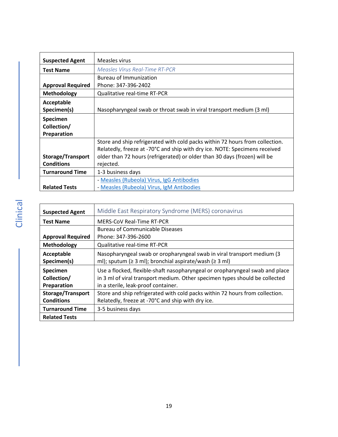<span id="page-18-1"></span>

| <b>Suspected Agent</b>   | Measles virus                                                                |
|--------------------------|------------------------------------------------------------------------------|
| <b>Test Name</b>         | Measles Virus Real-Time RT-PCR                                               |
|                          | <b>Bureau of Immunization</b>                                                |
| <b>Approval Required</b> | Phone: 347-396-2402                                                          |
| <b>Methodology</b>       | Qualitative real-time RT-PCR                                                 |
| Acceptable               |                                                                              |
| Specimen(s)              | Nasopharyngeal swab or throat swab in viral transport medium (3 ml)          |
| <b>Specimen</b>          |                                                                              |
| Collection/              |                                                                              |
| Preparation              |                                                                              |
|                          | Store and ship refrigerated with cold packs within 72 hours from collection. |
|                          | Relatedly, freeze at -70°C and ship with dry ice. NOTE: Specimens received   |
| Storage/Transport        | older than 72 hours (refrigerated) or older than 30 days (frozen) will be    |
| <b>Conditions</b>        | rejected.                                                                    |
| <b>Turnaround Time</b>   | 1-3 business days                                                            |
|                          | - Measles (Rubeola) Virus, IgG Antibodies                                    |
| <b>Related Tests</b>     | - Measles (Rubeola) Virus, IgM Antibodies                                    |

<span id="page-18-0"></span>

| <b>Suspected Agent</b>   | Middle East Respiratory Syndrome (MERS) coronavirus                          |
|--------------------------|------------------------------------------------------------------------------|
| <b>Test Name</b>         | <b>MERS-CoV Real-Time RT-PCR</b>                                             |
|                          | <b>Bureau of Communicable Diseases</b>                                       |
| <b>Approval Required</b> | Phone: 347-396-2600                                                          |
| Methodology              | Qualitative real-time RT-PCR                                                 |
| Acceptable               | Nasopharyngeal swab or oropharyngeal swab in viral transport medium (3       |
| Specimen(s)              | ml); sputum ( $\geq 3$ ml); bronchial aspirate/wash ( $\geq 3$ ml)           |
| <b>Specimen</b>          | Use a flocked, flexible-shaft nasopharyngeal or oropharyngeal swab and place |
| Collection/              | in 3 ml of viral transport medium. Other specimen types should be collected  |
| Preparation              | in a sterile, leak-proof container.                                          |
| Storage/Transport        | Store and ship refrigerated with cold packs within 72 hours from collection. |
| <b>Conditions</b>        | Relatedly, freeze at -70°C and ship with dry ice.                            |
| <b>Turnaround Time</b>   | 3-5 business days                                                            |
| <b>Related Tests</b>     |                                                                              |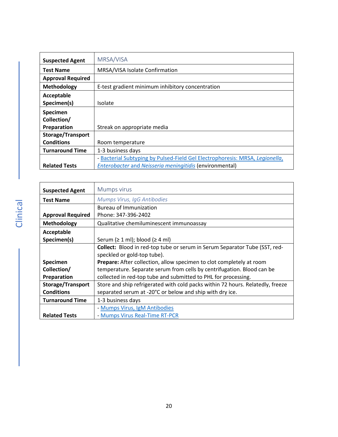<span id="page-19-0"></span>

| <b>Suspected Agent</b>   | MRSA/VISA                                                                    |
|--------------------------|------------------------------------------------------------------------------|
| <b>Test Name</b>         | MRSA/VISA Isolate Confirmation                                               |
| <b>Approval Required</b> |                                                                              |
| Methodology              | E-test gradient minimum inhibitory concentration                             |
| Acceptable               |                                                                              |
| Specimen(s)              | Isolate                                                                      |
| Specimen                 |                                                                              |
| Collection/              |                                                                              |
| Preparation              | Streak on appropriate media                                                  |
| <b>Storage/Transport</b> |                                                                              |
| <b>Conditions</b>        | Room temperature                                                             |
| <b>Turnaround Time</b>   | 1-3 business days                                                            |
|                          | - Bacterial Subtyping by Pulsed-Field Gel Electrophoresis: MRSA, Legionella, |
| <b>Related Tests</b>     | Enterobacter and Neisseria meningitidis (environmental)                      |

<span id="page-19-2"></span><span id="page-19-1"></span>

| <b>Suspected Agent</b>   | Mumps virus                                                                    |
|--------------------------|--------------------------------------------------------------------------------|
| <b>Test Name</b>         | Mumps Virus, IgG Antibodies                                                    |
|                          | <b>Bureau of Immunization</b>                                                  |
| <b>Approval Required</b> | Phone: 347-396-2402                                                            |
| <b>Methodology</b>       | Qualitative chemiluminescent immunoassay                                       |
| <b>Acceptable</b>        |                                                                                |
| Specimen(s)              | Serum $( \geq 1 \text{ ml})$ ; blood $( \geq 4 \text{ ml})$                    |
|                          | Collect: Blood in red-top tube or serum in Serum Separator Tube (SST, red-     |
|                          | speckled or gold-top tube).                                                    |
| <b>Specimen</b>          | <b>Prepare:</b> After collection, allow specimen to clot completely at room    |
| Collection/              | temperature. Separate serum from cells by centrifugation. Blood can be         |
| Preparation              | collected in red-top tube and submitted to PHL for processing.                 |
| <b>Storage/Transport</b> | Store and ship refrigerated with cold packs within 72 hours. Relatedly, freeze |
| <b>Conditions</b>        | separated serum at -20°C or below and ship with dry ice.                       |
| <b>Turnaround Time</b>   | 1-3 business days                                                              |
|                          | - Mumps Virus, IgM Antibodies                                                  |
| <b>Related Tests</b>     | - Mumps Virus Real-Time RT-PCR                                                 |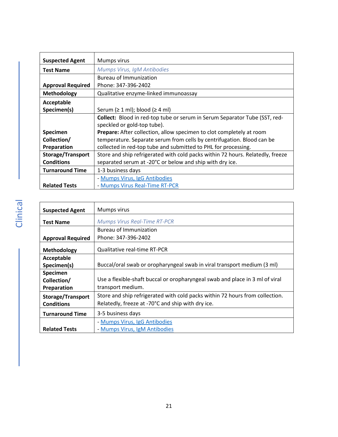<span id="page-20-0"></span>

| <b>Suspected Agent</b>   | Mumps virus                                                                    |
|--------------------------|--------------------------------------------------------------------------------|
| <b>Test Name</b>         | Mumps Virus, IgM Antibodies                                                    |
|                          | Bureau of Immunization                                                         |
| <b>Approval Required</b> | Phone: 347-396-2402                                                            |
| <b>Methodology</b>       | Qualitative enzyme-linked immunoassay                                          |
| Acceptable               |                                                                                |
| Specimen(s)              | Serum $( \geq 1 \text{ ml})$ ; blood $( \geq 4 \text{ ml})$                    |
|                          | Collect: Blood in red-top tube or serum in Serum Separator Tube (SST, red-     |
|                          | speckled or gold-top tube).                                                    |
| Specimen                 | Prepare: After collection, allow specimen to clot completely at room           |
| Collection/              | temperature. Separate serum from cells by centrifugation. Blood can be         |
| Preparation              | collected in red-top tube and submitted to PHL for processing.                 |
| Storage/Transport        | Store and ship refrigerated with cold packs within 72 hours. Relatedly, freeze |
| <b>Conditions</b>        | separated serum at -20°C or below and ship with dry ice.                       |
| <b>Turnaround Time</b>   | 1-3 business days                                                              |
|                          | - Mumps Virus, IgG Antibodies                                                  |
| <b>Related Tests</b>     | - Mumps Virus Real-Time RT-PCR                                                 |

<span id="page-20-1"></span>

| <b>Suspected Agent</b>   | Mumps virus                                                                  |
|--------------------------|------------------------------------------------------------------------------|
| <b>Test Name</b>         | Mumps Virus Real-Time RT-PCR                                                 |
|                          | Bureau of Immunization                                                       |
| <b>Approval Required</b> | Phone: 347-396-2402                                                          |
| Methodology              | <b>Qualitative real-time RT-PCR</b>                                          |
| Acceptable               |                                                                              |
| Specimen(s)              | Buccal/oral swab or oropharyngeal swab in viral transport medium (3 ml)      |
| Specimen                 |                                                                              |
| Collection/              | Use a flexible-shaft buccal or oropharyngeal swab and place in 3 ml of viral |
| Preparation              | transport medium.                                                            |
| <b>Storage/Transport</b> | Store and ship refrigerated with cold packs within 72 hours from collection. |
| <b>Conditions</b>        | Relatedly, freeze at -70°C and ship with dry ice.                            |
| <b>Turnaround Time</b>   | 3-5 business days                                                            |
|                          | - Mumps Virus, IgG Antibodies                                                |
| <b>Related Tests</b>     | - Mumps Virus, IgM Antibodies                                                |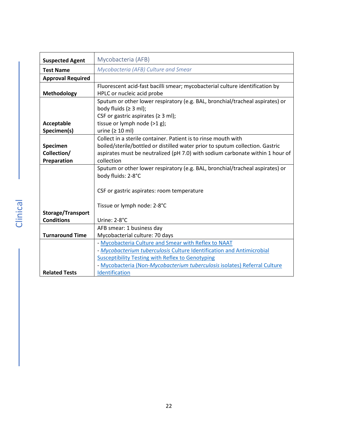<span id="page-21-0"></span>

| <b>Suspected Agent</b>   | Mycobacteria (AFB)                                                            |
|--------------------------|-------------------------------------------------------------------------------|
| <b>Test Name</b>         | Mycobacteria (AFB) Culture and Smear                                          |
| <b>Approval Required</b> |                                                                               |
|                          | Fluorescent acid-fast bacilli smear; mycobacterial culture identification by  |
| Methodology              | HPLC or nucleic acid probe                                                    |
|                          | Sputum or other lower respiratory (e.g. BAL, bronchial/tracheal aspirates) or |
|                          | body fluids $(≥ 3 ml)$ ;                                                      |
|                          | CSF or gastric aspirates ( $\geq$ 3 ml);                                      |
| Acceptable               | tissue or lymph node (>1 g);                                                  |
| Specimen(s)              | urine ( $\geq 10$ ml)                                                         |
|                          | Collect in a sterile container. Patient is to rinse mouth with                |
| Specimen                 | boiled/sterile/bottled or distilled water prior to sputum collection. Gastric |
| Collection/              | aspirates must be neutralized (pH 7.0) with sodium carbonate within 1 hour of |
| Preparation              | collection                                                                    |
|                          | Sputum or other lower respiratory (e.g. BAL, bronchial/tracheal aspirates) or |
|                          | body fluids: 2-8°C                                                            |
|                          |                                                                               |
|                          | CSF or gastric aspirates: room temperature                                    |
|                          |                                                                               |
|                          | Tissue or lymph node: 2-8°C                                                   |
| Storage/Transport        |                                                                               |
| <b>Conditions</b>        | Urine: 2-8°C                                                                  |
|                          | AFB smear: 1 business day                                                     |
| <b>Turnaround Time</b>   | Mycobacterial culture: 70 days                                                |
|                          | - Mycobacteria Culture and Smear with Reflex to NAAT                          |
|                          | - Mycobacterium tuberculosis Culture Identification and Antimicrobial         |
|                          | <b>Susceptibility Testing with Reflex to Genotyping</b>                       |
|                          | - Mycobacteria (Non-Mycobacterium tuberculosis isolates) Referral Culture     |
| <b>Related Tests</b>     | Identification                                                                |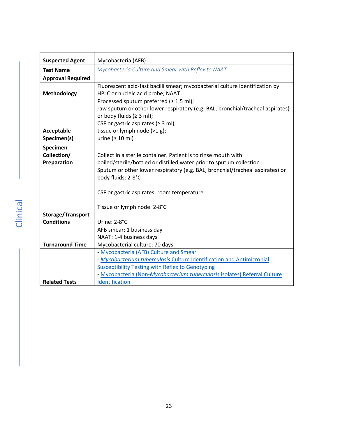<span id="page-22-0"></span>

| <b>Suspected Agent</b>   | Mycobacteria (AFB)                                                             |
|--------------------------|--------------------------------------------------------------------------------|
| <b>Test Name</b>         | Mycobacteria Culture and Smear with Reflex to NAAT                             |
| <b>Approval Required</b> |                                                                                |
|                          | Fluorescent acid-fast bacilli smear; mycobacterial culture identification by   |
| <b>Methodology</b>       | HPLC or nucleic acid probe; NAAT                                               |
|                          | Processed sputum preferred (≥ 1.5 ml);                                         |
|                          | raw sputum or other lower respiratory (e.g. BAL, bronchial/tracheal aspirates) |
|                          | or body fluids ( $\geq 3$ ml);                                                 |
|                          | CSF or gastric aspirates ( $\geq 3$ ml);                                       |
| Acceptable               | tissue or lymph node (>1 g);                                                   |
| Specimen(s)              | urine ( $\geq 10$ ml)                                                          |
| Specimen                 |                                                                                |
| Collection/              | Collect in a sterile container. Patient is to rinse mouth with                 |
| Preparation              | boiled/sterile/bottled or distilled water prior to sputum collection.          |
|                          | Sputum or other lower respiratory (e.g. BAL, bronchial/tracheal aspirates) or  |
|                          | body fluids: 2-8°C                                                             |
|                          |                                                                                |
|                          | CSF or gastric aspirates: room temperature                                     |
|                          |                                                                                |
|                          | Tissue or lymph node: 2-8°C                                                    |
| Storage/Transport        |                                                                                |
| <b>Conditions</b>        | Urine: 2-8°C                                                                   |
|                          | AFB smear: 1 business day                                                      |
|                          | NAAT: 1-4 business days                                                        |
| <b>Turnaround Time</b>   | Mycobacterial culture: 70 days                                                 |
|                          | - Mycobacteria (AFB) Culture and Smear                                         |
|                          | - Mycobacterium tuberculosis Culture Identification and Antimicrobial          |
|                          | <b>Susceptibility Testing with Reflex to Genotyping</b>                        |
|                          | - Mycobacteria (Non-Mycobacterium tuberculosis isolates) Referral Culture      |
| <b>Related Tests</b>     | Identification                                                                 |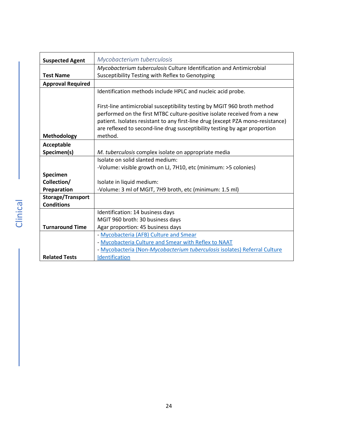<span id="page-23-0"></span>

| <b>Suspected Agent</b>   | Mycobacterium tuberculosis                                                      |
|--------------------------|---------------------------------------------------------------------------------|
|                          | Mycobacterium tuberculosis Culture Identification and Antimicrobial             |
| <b>Test Name</b>         | Susceptibility Testing with Reflex to Genotyping                                |
| <b>Approval Required</b> |                                                                                 |
|                          | Identification methods include HPLC and nucleic acid probe.                     |
|                          |                                                                                 |
|                          | First-line antimicrobial susceptibility testing by MGIT 960 broth method        |
|                          | performed on the first MTBC culture-positive isolate received from a new        |
|                          | patient. Isolates resistant to any first-line drug (except PZA mono-resistance) |
|                          | are reflexed to second-line drug susceptibility testing by agar proportion      |
| Methodology              | method.                                                                         |
| Acceptable               |                                                                                 |
| Specimen(s)              | M. tuberculosis complex isolate on appropriate media                            |
|                          | Isolate on solid slanted medium:                                                |
|                          | -Volume: visible growth on LJ, 7H10, etc (minimum: >5 colonies)                 |
| Specimen                 |                                                                                 |
| Collection/              | Isolate in liquid medium:                                                       |
| Preparation              | -Volume: 3 ml of MGIT, 7H9 broth, etc (minimum: 1.5 ml)                         |
| Storage/Transport        |                                                                                 |
| <b>Conditions</b>        |                                                                                 |
|                          | Identification: 14 business days                                                |
|                          | MGIT 960 broth: 30 business days                                                |
| <b>Turnaround Time</b>   | Agar proportion: 45 business days                                               |
|                          | - Mycobacteria (AFB) Culture and Smear                                          |
|                          | - Mycobacteria Culture and Smear with Reflex to NAAT                            |
|                          | - Mycobacteria (Non-Mycobacterium tuberculosis isolates) Referral Culture       |
| <b>Related Tests</b>     | Identification                                                                  |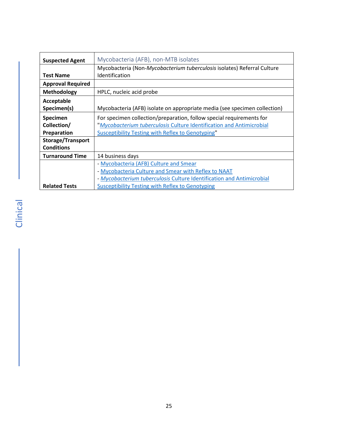<span id="page-24-0"></span>

| <b>Suspected Agent</b>   | Mycobacteria (AFB), non-MTB isolates                                      |
|--------------------------|---------------------------------------------------------------------------|
|                          | Mycobacteria (Non-Mycobacterium tuberculosis isolates) Referral Culture   |
| <b>Test Name</b>         | Identification                                                            |
| <b>Approval Required</b> |                                                                           |
| Methodology              | HPLC, nucleic acid probe                                                  |
| Acceptable               |                                                                           |
| Specimen(s)              | Mycobacteria (AFB) isolate on appropriate media (see specimen collection) |
| Specimen                 | For specimen collection/preparation, follow special requirements for      |
| Collection/              | "Mycobacterium tuberculosis Culture Identification and Antimicrobial      |
| Preparation              | Susceptibility Testing with Reflex to Genotyping"                         |
| <b>Storage/Transport</b> |                                                                           |
| <b>Conditions</b>        |                                                                           |
| <b>Turnaround Time</b>   | 14 business days                                                          |
|                          | - Mycobacteria (AFB) Culture and Smear                                    |
|                          | - Mycobacteria Culture and Smear with Reflex to NAAT                      |
|                          | - Mycobacterium tuberculosis Culture Identification and Antimicrobial     |
| <b>Related Tests</b>     | Susceptibility Testing with Reflex to Genotyping                          |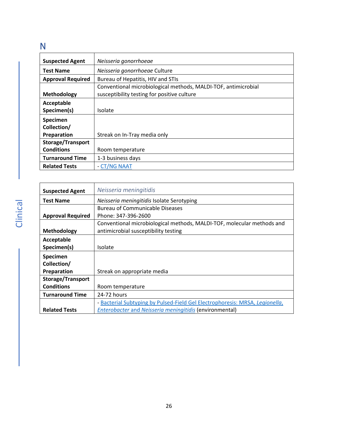### <span id="page-25-0"></span>N

| <b>Suspected Agent</b>   | Neisseria gonorrhoeae                                          |
|--------------------------|----------------------------------------------------------------|
|                          |                                                                |
| <b>Test Name</b>         | Neisseria gonorrhoeae Culture                                  |
| <b>Approval Required</b> | Bureau of Hepatitis, HIV and STIs                              |
|                          | Conventional microbiological methods, MALDI-TOF, antimicrobial |
| Methodology              | susceptibility testing for positive culture                    |
| Acceptable               |                                                                |
| Specimen(s)              | Isolate                                                        |
| Specimen                 |                                                                |
| Collection/              |                                                                |
| Preparation              | Streak on In-Tray media only                                   |
| <b>Storage/Transport</b> |                                                                |
| <b>Conditions</b>        | Room temperature                                               |
| <b>Turnaround Time</b>   | 1-3 business days                                              |
| <b>Related Tests</b>     | - CT/NG NAAT                                                   |

<span id="page-25-1"></span>

| <b>Suspected Agent</b>   | Neisseria meningitidis                                                       |
|--------------------------|------------------------------------------------------------------------------|
| <b>Test Name</b>         | Neisseria meningitidis Isolate Serotyping                                    |
|                          | <b>Bureau of Communicable Diseases</b>                                       |
| <b>Approval Required</b> | Phone: 347-396-2600                                                          |
|                          | Conventional microbiological methods, MALDI-TOF, molecular methods and       |
| Methodology              | antimicrobial susceptibility testing                                         |
| Acceptable               |                                                                              |
| Specimen(s)              | Isolate                                                                      |
| Specimen                 |                                                                              |
| Collection/              |                                                                              |
| Preparation              | Streak on appropriate media                                                  |
| <b>Storage/Transport</b> |                                                                              |
| <b>Conditions</b>        | Room temperature                                                             |
| <b>Turnaround Time</b>   | 24-72 hours                                                                  |
|                          | - Bacterial Subtyping by Pulsed-Field Gel Electrophoresis: MRSA, Legionella, |
| <b>Related Tests</b>     | <b>Enterobacter and Neisseria meningitidis (environmental)</b>               |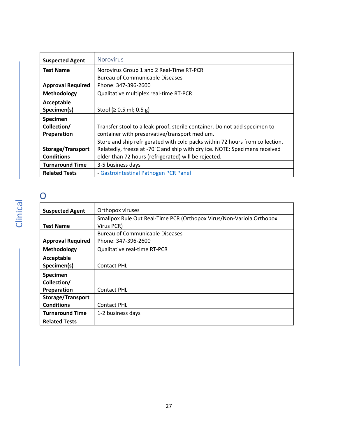<span id="page-26-0"></span>

| <b>Suspected Agent</b>   | <b>Norovirus</b>                                                             |
|--------------------------|------------------------------------------------------------------------------|
| <b>Test Name</b>         | Norovirus Group 1 and 2 Real-Time RT-PCR                                     |
|                          | <b>Bureau of Communicable Diseases</b>                                       |
| <b>Approval Required</b> | Phone: 347-396-2600                                                          |
| Methodology              | Qualitative multiplex real-time RT-PCR                                       |
| Acceptable               |                                                                              |
| Specimen(s)              | Stool (≥ 0.5 ml; 0.5 g)                                                      |
| Specimen                 |                                                                              |
| Collection/              | Transfer stool to a leak-proof, sterile container. Do not add specimen to    |
| Preparation              | container with preservative/transport medium.                                |
|                          | Store and ship refrigerated with cold packs within 72 hours from collection. |
| Storage/Transport        | Relatedly, freeze at -70°C and ship with dry ice. NOTE: Specimens received   |
| <b>Conditions</b>        | older than 72 hours (refrigerated) will be rejected.                         |
| <b>Turnaround Time</b>   | 3-5 business days                                                            |
| <b>Related Tests</b>     | - Gastrointestinal Pathogen PCR Panel                                        |

### <span id="page-26-1"></span>O

<span id="page-26-2"></span>

| <b>Suspected Agent</b>   | Orthopox viruses                                                     |
|--------------------------|----------------------------------------------------------------------|
|                          | Smallpox Rule Out Real-Time PCR (Orthopox Virus/Non-Variola Orthopox |
| <b>Test Name</b>         | Virus PCR)                                                           |
|                          | <b>Bureau of Communicable Diseases</b>                               |
| <b>Approval Required</b> | Phone: 347-396-2600                                                  |
| Methodology              | Qualitative real-time RT-PCR                                         |
| Acceptable               |                                                                      |
| Specimen(s)              | <b>Contact PHL</b>                                                   |
| Specimen                 |                                                                      |
| Collection/              |                                                                      |
| Preparation              | <b>Contact PHL</b>                                                   |
| Storage/Transport        |                                                                      |
| <b>Conditions</b>        | <b>Contact PHL</b>                                                   |
| <b>Turnaround Time</b>   | 1-2 business days                                                    |
| <b>Related Tests</b>     |                                                                      |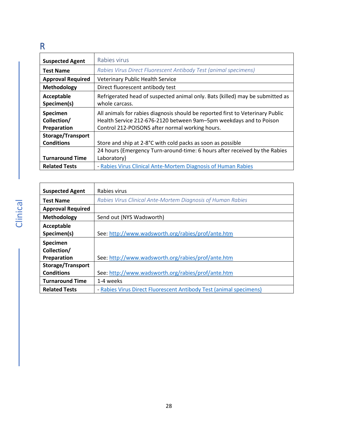### <span id="page-27-0"></span>R

<span id="page-27-1"></span>

| <b>Suspected Agent</b>   | Rabies virus                                                                   |
|--------------------------|--------------------------------------------------------------------------------|
| <b>Test Name</b>         | Rabies Virus Direct Fluorescent Antibody Test (animal specimens)               |
| <b>Approval Required</b> | <b>Veterinary Public Health Service</b>                                        |
| Methodology              | Direct fluorescent antibody test                                               |
| Acceptable               | Refrigerated head of suspected animal only. Bats (killed) may be submitted as  |
| Specimen(s)              | whole carcass.                                                                 |
| Specimen                 | All animals for rabies diagnosis should be reported first to Veterinary Public |
| Collection/              | Health Service 212-676-2120 between 9am-5pm weekdays and to Poison             |
| Preparation              | Control 212-POISONS after normal working hours.                                |
| <b>Storage/Transport</b> |                                                                                |
| <b>Conditions</b>        | Store and ship at 2-8°C with cold packs as soon as possible                    |
|                          | 24 hours (Emergency Turn-around-time: 6 hours after received by the Rabies     |
| <b>Turnaround Time</b>   | Laboratory)                                                                    |
| <b>Related Tests</b>     | - Rabies Virus Clinical Ante-Mortem Diagnosis of Human Rabies                  |

<span id="page-27-2"></span>

| <b>Suspected Agent</b>   | Rabies virus                                                       |
|--------------------------|--------------------------------------------------------------------|
| <b>Test Name</b>         | Rabies Virus Clinical Ante-Mortem Diagnosis of Human Rabies        |
| <b>Approval Required</b> |                                                                    |
| Methodology              | Send out (NYS Wadsworth)                                           |
| Acceptable               |                                                                    |
| Specimen(s)              | See: http://www.wadsworth.org/rabies/prof/ante.htm                 |
| Specimen                 |                                                                    |
| Collection/              |                                                                    |
| Preparation              | See: http://www.wadsworth.org/rabies/prof/ante.htm                 |
| <b>Storage/Transport</b> |                                                                    |
| <b>Conditions</b>        | See: http://www.wadsworth.org/rabies/prof/ante.htm                 |
| <b>Turnaround Time</b>   | 1-4 weeks                                                          |
| <b>Related Tests</b>     | - Rabies Virus Direct Fluorescent Antibody Test (animal specimens) |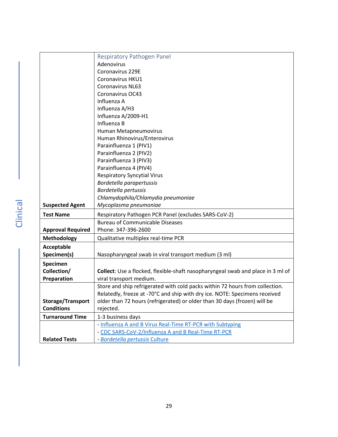<span id="page-28-0"></span>

|                                        | Respiratory Pathogen Panel                                                      |
|----------------------------------------|---------------------------------------------------------------------------------|
|                                        | Adenovirus                                                                      |
|                                        | Coronavirus 229E                                                                |
|                                        | Coronavirus HKU1                                                                |
|                                        | <b>Coronavirus NL63</b>                                                         |
|                                        | Coronavirus OC43                                                                |
|                                        | Influenza A                                                                     |
|                                        | Influenza A/H3                                                                  |
|                                        | Influenza A/2009-H1                                                             |
|                                        | Influenza B                                                                     |
|                                        | Human Metapneumovirus                                                           |
|                                        | Human Rhinovirus/Enterovirus                                                    |
|                                        | Parainfluenza 1 (PIV1)                                                          |
|                                        | Parainfluenza 2 (PIV2)                                                          |
|                                        | Parainfluenza 3 (PIV3)                                                          |
|                                        | Parainfluenza 4 (PIV4)                                                          |
|                                        | <b>Respiratory Syncytial Virus</b>                                              |
|                                        | Bordetella parapertussis                                                        |
|                                        | Bordetella pertussis                                                            |
|                                        | Chlamydophila/Chlamydia pneumoniae                                              |
| <b>Suspected Agent</b>                 | Mycoplasma pneumoniae                                                           |
| <b>Test Name</b>                       | Respiratory Pathogen PCR Panel (excludes SARS-CoV-2)                            |
|                                        | <b>Bureau of Communicable Diseases</b>                                          |
| <b>Approval Required</b>               | Phone: 347-396-2600                                                             |
| Methodology                            | Qualitative multiplex real-time PCR                                             |
| Acceptable                             |                                                                                 |
| Specimen(s)                            | Nasopharyngeal swab in viral transport medium (3 ml)                            |
|                                        |                                                                                 |
| Specimen<br>Collection/                | Collect: Use a flocked, flexible-shaft nasopharyngeal swab and place in 3 ml of |
| Preparation                            | viral transport medium.                                                         |
|                                        | Store and ship refrigerated with cold packs within 72 hours from collection.    |
|                                        | Relatedly, freeze at -70°C and ship with dry ice. NOTE: Specimens received      |
|                                        | older than 72 hours (refrigerated) or older than 30 days (frozen) will be       |
| Storage/Transport<br><b>Conditions</b> | rejected.                                                                       |
|                                        |                                                                                 |
| <b>Turnaround Time</b>                 | 1-3 business days                                                               |
|                                        | - Influenza A and B Virus Real-Time RT-PCR with Subtyping                       |
|                                        | - CDC SARS-CoV-2/Influenza A and B Real-Time RT-PCR                             |
| <b>Related Tests</b>                   | - Bordetella pertussis Culture                                                  |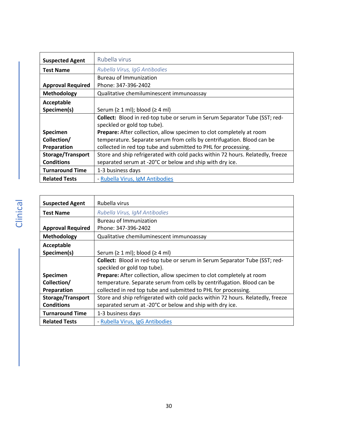<span id="page-29-0"></span>

| <b>Suspected Agent</b>   | Rubella virus                                                                  |
|--------------------------|--------------------------------------------------------------------------------|
| <b>Test Name</b>         | Rubella Virus, IgG Antibodies                                                  |
|                          | <b>Bureau of Immunization</b>                                                  |
| <b>Approval Required</b> | Phone: 347-396-2402                                                            |
| <b>Methodology</b>       | Qualitative chemiluminescent immunoassay                                       |
| Acceptable               |                                                                                |
| Specimen(s)              | Serum ( $\geq 1$ ml); blood ( $\geq 4$ ml)                                     |
|                          | Collect: Blood in red-top tube or serum in Serum Separator Tube (SST; red-     |
|                          | speckled or gold top tube).                                                    |
| Specimen                 | Prepare: After collection, allow specimen to clot completely at room           |
| Collection/              | temperature. Separate serum from cells by centrifugation. Blood can be         |
| Preparation              | collected in red top tube and submitted to PHL for processing.                 |
| <b>Storage/Transport</b> | Store and ship refrigerated with cold packs within 72 hours. Relatedly, freeze |
| <b>Conditions</b>        | separated serum at -20°C or below and ship with dry ice.                       |
| <b>Turnaround Time</b>   | 1-3 business days                                                              |
| <b>Related Tests</b>     | - Rubella Virus, IgM Antibodies                                                |

<span id="page-29-1"></span>

| <b>Suspected Agent</b>   | Rubella virus                                                                  |
|--------------------------|--------------------------------------------------------------------------------|
| <b>Test Name</b>         | Rubella Virus, IgM Antibodies                                                  |
|                          | <b>Bureau of Immunization</b>                                                  |
| <b>Approval Required</b> | Phone: 347-396-2402                                                            |
| Methodology              | Qualitative chemiluminescent immunoassay                                       |
| Acceptable               |                                                                                |
| Specimen(s)              | Serum ( $\geq 1$ ml); blood ( $\geq 4$ ml)                                     |
|                          | Collect: Blood in red-top tube or serum in Serum Separator Tube (SST; red-     |
|                          | speckled or gold top tube).                                                    |
| Specimen                 | <b>Prepare:</b> After collection, allow specimen to clot completely at room    |
| Collection/              | temperature. Separate serum from cells by centrifugation. Blood can be         |
| Preparation              | collected in red top tube and submitted to PHL for processing.                 |
| <b>Storage/Transport</b> | Store and ship refrigerated with cold packs within 72 hours. Relatedly, freeze |
| <b>Conditions</b>        | separated serum at -20°C or below and ship with dry ice.                       |
| <b>Turnaround Time</b>   | 1-3 business days                                                              |
| <b>Related Tests</b>     | - Rubella Virus, IgG Antibodies                                                |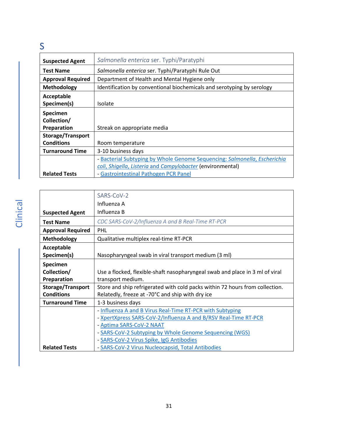### <span id="page-30-0"></span>S

<span id="page-30-1"></span>

| <b>Suspected Agent</b>   | Salmonella enterica ser. Typhi/Paratyphi                                  |
|--------------------------|---------------------------------------------------------------------------|
| <b>Test Name</b>         | Salmonella enterica ser. Typhi/Paratyphi Rule Out                         |
| <b>Approval Required</b> | Department of Health and Mental Hygiene only                              |
| Methodology              | Identification by conventional biochemicals and serotyping by serology    |
| Acceptable               |                                                                           |
| Specimen(s)              | Isolate                                                                   |
| Specimen                 |                                                                           |
| Collection/              |                                                                           |
| Preparation              | Streak on appropriate media                                               |
| <b>Storage/Transport</b> |                                                                           |
| <b>Conditions</b>        | Room temperature                                                          |
| <b>Turnaround Time</b>   | 3-10 business days                                                        |
|                          | - Bacterial Subtyping by Whole Genome Sequencing: Salmonella, Escherichia |
|                          | coli, Shigella, Listeria and Campylobacter (environmental)                |
| <b>Related Tests</b>     | - Gastrointestinal Pathogen PCR Panel                                     |

<span id="page-30-2"></span>

|                          | SARS-CoV-2                                                                   |
|--------------------------|------------------------------------------------------------------------------|
|                          | Influenza A                                                                  |
| <b>Suspected Agent</b>   | Influenza B                                                                  |
| <b>Test Name</b>         | CDC SARS-CoV-2/Influenza A and B Real-Time RT-PCR                            |
| <b>Approval Required</b> | PHL                                                                          |
| Methodology              | Qualitative multiplex real-time RT-PCR                                       |
| Acceptable               |                                                                              |
| Specimen(s)              | Nasopharyngeal swab in viral transport medium (3 ml)                         |
| Specimen                 |                                                                              |
| Collection/              | Use a flocked, flexible-shaft nasopharyngeal swab and place in 3 ml of viral |
| Preparation              | transport medium.                                                            |
| Storage/Transport        | Store and ship refrigerated with cold packs within 72 hours from collection. |
| <b>Conditions</b>        | Relatedly, freeze at -70°C and ship with dry ice                             |
| <b>Turnaround Time</b>   | 1-3 business days                                                            |
|                          | - Influenza A and B Virus Real-Time RT-PCR with Subtyping                    |
|                          | - XpertXpress SARS-CoV-2/Influenza A and B/RSV Real-Time RT-PCR              |
|                          | - Aptima SARS-CoV-2 NAAT                                                     |
|                          | - SARS-CoV-2 Subtyping by Whole Genome Sequencing (WGS)                      |
|                          | - SARS-CoV-2 Virus Spike, IgG Antibodies                                     |
| <b>Related Tests</b>     | - SARS-CoV-2 Virus Nucleocapsid, Total Antibodies                            |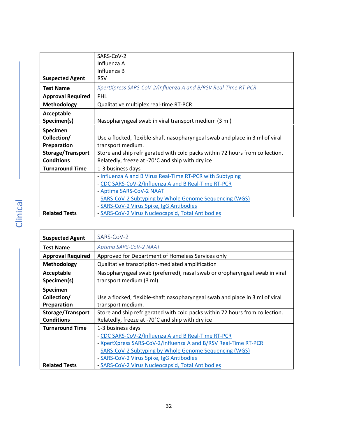<span id="page-31-1"></span>

|                          | SARS-CoV-2                                                                   |
|--------------------------|------------------------------------------------------------------------------|
|                          | Influenza A                                                                  |
|                          | Influenza B                                                                  |
| <b>Suspected Agent</b>   | <b>RSV</b>                                                                   |
| <b>Test Name</b>         | XpertXpress SARS-CoV-2/Influenza A and B/RSV Real-Time RT-PCR                |
| <b>Approval Required</b> | PHL                                                                          |
| Methodology              | Qualitative multiplex real-time RT-PCR                                       |
| Acceptable               |                                                                              |
| Specimen(s)              | Nasopharyngeal swab in viral transport medium (3 ml)                         |
| Specimen                 |                                                                              |
| Collection/              | Use a flocked, flexible-shaft nasopharyngeal swab and place in 3 ml of viral |
| Preparation              | transport medium.                                                            |
| Storage/Transport        | Store and ship refrigerated with cold packs within 72 hours from collection. |
| <b>Conditions</b>        | Relatedly, freeze at -70°C and ship with dry ice                             |
| <b>Turnaround Time</b>   | 1-3 business days                                                            |
|                          | - Influenza A and B Virus Real-Time RT-PCR with Subtyping                    |
|                          | - CDC SARS-CoV-2/Influenza A and B Real-Time RT-PCR                          |
|                          | - Aptima SARS-CoV-2 NAAT                                                     |
|                          | - SARS-CoV-2 Subtyping by Whole Genome Sequencing (WGS)                      |
|                          | - SARS-CoV-2 Virus Spike, IgG Antibodies                                     |
| <b>Related Tests</b>     | - SARS-CoV-2 Virus Nucleocapsid, Total Antibodies                            |

<span id="page-31-2"></span><span id="page-31-0"></span>

| <b>Suspected Agent</b>   | SARS-CoV-2                                                                   |
|--------------------------|------------------------------------------------------------------------------|
| <b>Test Name</b>         | Aptima SARS-CoV-2 NAAT                                                       |
| <b>Approval Required</b> | Approved for Department of Homeless Services only                            |
| Methodology              | Qualitative transcription-mediated amplification                             |
| Acceptable               | Nasopharyngeal swab (preferred), nasal swab or oropharyngeal swab in viral   |
| Specimen(s)              | transport medium (3 ml)                                                      |
| <b>Specimen</b>          |                                                                              |
| Collection/              | Use a flocked, flexible-shaft nasopharyngeal swab and place in 3 ml of viral |
| Preparation              | transport medium.                                                            |
| <b>Storage/Transport</b> | Store and ship refrigerated with cold packs within 72 hours from collection. |
| <b>Conditions</b>        | Relatedly, freeze at -70°C and ship with dry ice                             |
| <b>Turnaround Time</b>   | 1-3 business days                                                            |
|                          | - CDC SARS-CoV-2/Influenza A and B Real-Time RT-PCR                          |
|                          | - XpertXpress SARS-CoV-2/Influenza A and B/RSV Real-Time RT-PCR              |
|                          | - SARS-CoV-2 Subtyping by Whole Genome Sequencing (WGS)                      |
|                          | - SARS-CoV-2 Virus Spike, IgG Antibodies                                     |
| <b>Related Tests</b>     | - SARS-CoV-2 Virus Nucleocapsid, Total Antibodies                            |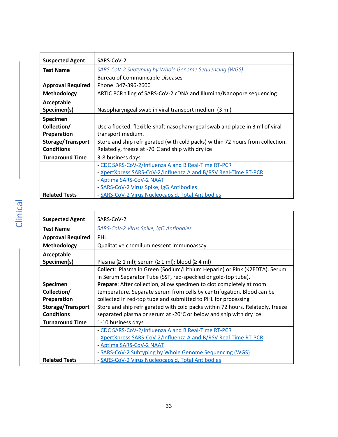<span id="page-32-0"></span>

| <b>Suspected Agent</b>   | SARS-CoV-2                                                                     |
|--------------------------|--------------------------------------------------------------------------------|
| <b>Test Name</b>         | SARS-CoV-2 Subtyping by Whole Genome Sequencing (WGS)                          |
|                          | <b>Bureau of Communicable Diseases</b>                                         |
| <b>Approval Required</b> | Phone: 347-396-2600                                                            |
| <b>Methodology</b>       | ARTIC PCR tiling of SARS-CoV-2 cDNA and Illumina/Nanopore sequencing           |
| Acceptable               |                                                                                |
| Specimen(s)              | Nasopharyngeal swab in viral transport medium (3 ml)                           |
| Specimen                 |                                                                                |
| Collection/              | Use a flocked, flexible-shaft nasopharyngeal swab and place in 3 ml of viral   |
| Preparation              | transport medium.                                                              |
| <b>Storage/Transport</b> | Store and ship refrigerated (with cold packs) within 72 hours from collection. |
| <b>Conditions</b>        | Relatedly, freeze at -70°C and ship with dry ice                               |
| <b>Turnaround Time</b>   | 3-8 business days                                                              |
|                          | - CDC SARS-CoV-2/Influenza A and B Real-Time RT-PCR                            |
|                          | - XpertXpress SARS-CoV-2/Influenza A and B/RSV Real-Time RT-PCR                |
|                          | - Aptima SARS-CoV-2 NAAT                                                       |
|                          | - SARS-CoV-2 Virus Spike, IgG Antibodies                                       |
| <b>Related Tests</b>     | - SARS-CoV-2 Virus Nucleocapsid, Total Antibodies                              |

<span id="page-32-1"></span>

| <b>Suspected Agent</b>   | SARS-CoV-2                                                                     |
|--------------------------|--------------------------------------------------------------------------------|
| <b>Test Name</b>         | SARS-CoV-2 Virus Spike, IgG Antibodies                                         |
| <b>Approval Required</b> | PHL                                                                            |
| <b>Methodology</b>       | Qualitative chemiluminescent immunoassay                                       |
| Acceptable               |                                                                                |
| Specimen(s)              | Plasma ( $\geq 1$ ml); serum ( $\geq 1$ ml); blood ( $\geq 4$ ml)              |
|                          | Collect: Plasma in Green (Sodium/Lithium Heparin) or Pink (K2EDTA). Serum      |
|                          | in Serum Separator Tube (SST, red-speckled or gold-top tube).                  |
| Specimen                 | Prepare: After collection, allow specimen to clot completely at room           |
| Collection/              | temperature. Separate serum from cells by centrifugation. Blood can be         |
| Preparation              | collected in red-top tube and submitted to PHL for processing                  |
| Storage/Transport        | Store and ship refrigerated with cold packs within 72 hours. Relatedly, freeze |
| <b>Conditions</b>        | separated plasma or serum at -20°C or below and ship with dry ice.             |
| <b>Turnaround Time</b>   | 1-10 business days                                                             |
|                          | - CDC SARS-CoV-2/Influenza A and B Real-Time RT-PCR                            |
|                          | - XpertXpress SARS-CoV-2/Influenza A and B/RSV Real-Time RT-PCR                |
|                          | - Aptima SARS-CoV-2 NAAT                                                       |
|                          | - SARS-CoV-2 Subtyping by Whole Genome Sequencing (WGS)                        |
| <b>Related Tests</b>     | - SARS-CoV-2 Virus Nucleocapsid, Total Antibodies                              |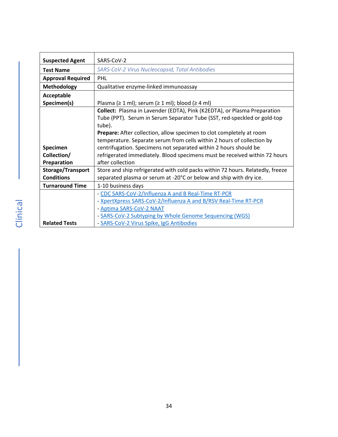<span id="page-33-0"></span>

| <b>Suspected Agent</b>   | SARS-CoV-2                                                                     |
|--------------------------|--------------------------------------------------------------------------------|
| <b>Test Name</b>         | SARS-CoV-2 Virus Nucleocapsid, Total Antibodies                                |
| <b>Approval Required</b> | PHL                                                                            |
| <b>Methodology</b>       | Qualitative enzyme-linked immunoassay                                          |
| Acceptable               |                                                                                |
| Specimen(s)              | Plasma ( $\geq 1$ ml); serum ( $\geq 1$ ml); blood ( $\geq 4$ ml)              |
|                          | Collect: Plasma in Lavender (EDTA), Pink (K2EDTA), or Plasma Preparation       |
|                          | Tube (PPT). Serum in Serum Separator Tube (SST, red-speckled or gold-top       |
|                          | tube).                                                                         |
|                          | Prepare: After collection, allow specimen to clot completely at room           |
|                          | temperature. Separate serum from cells within 2 hours of collection by         |
| Specimen                 | centrifugation. Specimens not separated within 2 hours should be               |
| Collection/              | refrigerated immediately. Blood specimens must be received within 72 hours     |
| Preparation              | after collection                                                               |
| <b>Storage/Transport</b> | Store and ship refrigerated with cold packs within 72 hours. Relatedly, freeze |
| <b>Conditions</b>        | separated plasma or serum at -20°C or below and ship with dry ice.             |
| <b>Turnaround Time</b>   | 1-10 business days                                                             |
|                          | - CDC SARS-CoV-2/Influenza A and B Real-Time RT-PCR                            |
|                          | - XpertXpress SARS-CoV-2/Influenza A and B/RSV Real-Time RT-PCR                |
|                          | - Aptima SARS-CoV-2 NAAT                                                       |
|                          | - SARS-CoV-2 Subtyping by Whole Genome Sequencing (WGS)                        |
| <b>Related Tests</b>     | - SARS-CoV-2 Virus Spike, IgG Antibodies                                       |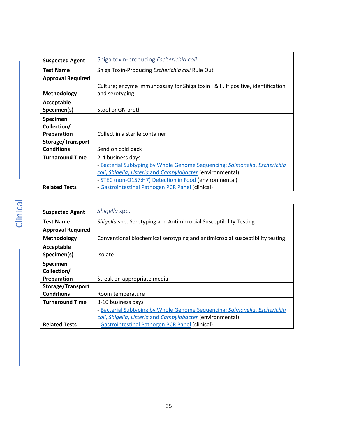<span id="page-34-0"></span>

| <b>Suspected Agent</b>   | Shiga toxin-producing Escherichia coli                                          |
|--------------------------|---------------------------------------------------------------------------------|
| <b>Test Name</b>         | Shiga Toxin-Producing Escherichia coli Rule Out                                 |
| <b>Approval Required</b> |                                                                                 |
|                          | Culture; enzyme immunoassay for Shiga toxin I & II. If positive, identification |
| <b>Methodology</b>       | and serotyping                                                                  |
| Acceptable               |                                                                                 |
| Specimen(s)              | Stool or GN broth                                                               |
| <b>Specimen</b>          |                                                                                 |
| Collection/              |                                                                                 |
| Preparation              | Collect in a sterile container                                                  |
| <b>Storage/Transport</b> |                                                                                 |
| <b>Conditions</b>        | Send on cold pack                                                               |
| <b>Turnaround Time</b>   | 2-4 business days                                                               |
|                          | - Bacterial Subtyping by Whole Genome Sequencing: Salmonella, Escherichia       |
|                          | coli, Shigella, Listeria and Campylobacter (environmental)                      |
|                          | - STEC (non-O157:H7) Detection in Food (environmental)                          |
| <b>Related Tests</b>     | - Gastrointestinal Pathogen PCR Panel (clinical)                                |

<span id="page-34-1"></span>

| <b>Suspected Agent</b>   | Shigella spp.                                                                |
|--------------------------|------------------------------------------------------------------------------|
| <b>Test Name</b>         | Shigella spp. Serotyping and Antimicrobial Susceptibility Testing            |
| <b>Approval Required</b> |                                                                              |
| Methodology              | Conventional biochemical serotyping and antimicrobial susceptibility testing |
| Acceptable               |                                                                              |
| Specimen(s)              | Isolate                                                                      |
| Specimen                 |                                                                              |
| Collection/              |                                                                              |
| Preparation              | Streak on appropriate media                                                  |
| <b>Storage/Transport</b> |                                                                              |
| <b>Conditions</b>        | Room temperature                                                             |
| <b>Turnaround Time</b>   | 3-10 business days                                                           |
|                          | - Bacterial Subtyping by Whole Genome Sequencing: Salmonella, Escherichia    |
|                          | coli, Shigella, Listeria and Campylobacter (environmental)                   |
| <b>Related Tests</b>     | - Gastrointestinal Pathogen PCR Panel (clinical)                             |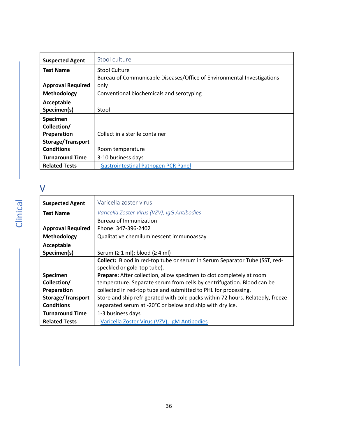<span id="page-35-0"></span>

| <b>Suspected Agent</b>   | Stool culture                                                          |
|--------------------------|------------------------------------------------------------------------|
| <b>Test Name</b>         | Stool Culture                                                          |
|                          | Bureau of Communicable Diseases/Office of Environmental Investigations |
| <b>Approval Required</b> | only                                                                   |
| Methodology              | Conventional biochemicals and serotyping                               |
| Acceptable               |                                                                        |
| Specimen(s)              | Stool                                                                  |
| Specimen                 |                                                                        |
| Collection/              |                                                                        |
| Preparation              | Collect in a sterile container                                         |
| <b>Storage/Transport</b> |                                                                        |
| <b>Conditions</b>        | Room temperature                                                       |
| <b>Turnaround Time</b>   | 3-10 business days                                                     |
| <b>Related Tests</b>     | - Gastrointestinal Pathogen PCR Panel                                  |

### <span id="page-35-1"></span>V

<span id="page-35-2"></span>

| <b>Suspected Agent</b>   | Varicella zoster virus                                                         |
|--------------------------|--------------------------------------------------------------------------------|
| <b>Test Name</b>         | Varicella Zoster Virus (VZV), IgG Antibodies                                   |
|                          | <b>Bureau of Immunization</b>                                                  |
| <b>Approval Required</b> | Phone: 347-396-2402                                                            |
| Methodology              | Qualitative chemiluminescent immunoassay                                       |
| Acceptable               |                                                                                |
| Specimen(s)              | Serum ( $\geq 1$ ml); blood ( $\geq 4$ ml)                                     |
|                          | Collect: Blood in red-top tube or serum in Serum Separator Tube (SST, red-     |
|                          | speckled or gold-top tube).                                                    |
| <b>Specimen</b>          | Prepare: After collection, allow specimen to clot completely at room           |
| Collection/              | temperature. Separate serum from cells by centrifugation. Blood can be         |
| Preparation              | collected in red-top tube and submitted to PHL for processing.                 |
| <b>Storage/Transport</b> | Store and ship refrigerated with cold packs within 72 hours. Relatedly, freeze |
| <b>Conditions</b>        | separated serum at -20°C or below and ship with dry ice.                       |
| <b>Turnaround Time</b>   | 1-3 business days                                                              |
| <b>Related Tests</b>     | - Varicella Zoster Virus (VZV), IgM Antibodies                                 |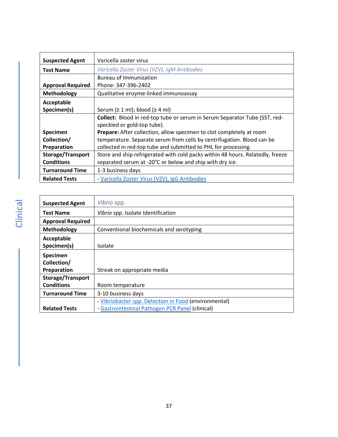<span id="page-36-1"></span>

| <b>Suspected Agent</b>   | Varicella zoster virus                                                         |
|--------------------------|--------------------------------------------------------------------------------|
| <b>Test Name</b>         | Varicella Zoster Virus (VZV), IgM Antibodies                                   |
|                          | Bureau of Immunization                                                         |
| <b>Approval Required</b> | Phone: 347-396-2402                                                            |
| Methodology              | Qualitative enzyme-linked immunoassay                                          |
| Acceptable               |                                                                                |
| Specimen(s)              | Serum $( \geq 1 \text{ ml})$ ; blood $( \geq 4 \text{ ml})$                    |
|                          | Collect: Blood in red-top tube or serum in Serum Separator Tube (SST, red-     |
|                          | speckled or gold-top tube).                                                    |
| <b>Specimen</b>          | Prepare: After collection, allow specimen to clot completely at room           |
| Collection/              | temperature. Separate serum from cells by centrifugation. Blood can be         |
| Preparation              | collected in red-top tube and submitted to PHL for processing.                 |
| <b>Storage/Transport</b> | Store and ship refrigerated with cold packs within 48 hours. Relatedly, freeze |
| <b>Conditions</b>        | separated serum at -20°C or below and ship with dry ice.                       |
| <b>Turnaround Time</b>   | 1-3 business days                                                              |
| <b>Related Tests</b>     | - Varicella Zoster Virus (VZV), IgG Antibodies                                 |

<span id="page-36-0"></span>

| <b>Suspected Agent</b>   | Vibrio spp.                                           |
|--------------------------|-------------------------------------------------------|
| <b>Test Name</b>         | Vibrio spp. Isolate Identification                    |
| <b>Approval Required</b> |                                                       |
| Methodology              | Conventional biochemicals and serotyping              |
| Acceptable               |                                                       |
| Specimen(s)              | Isolate                                               |
| Specimen                 |                                                       |
| Collection/              |                                                       |
| Preparation              | Streak on appropriate media                           |
| <b>Storage/Transport</b> |                                                       |
| <b>Conditions</b>        | Room temperature                                      |
| <b>Turnaround Time</b>   | 3-10 business days                                    |
|                          | - Vibriobacter spp. Detection in Food (environmental) |
| <b>Related Tests</b>     | - Gastrointestinal Pathogen PCR Panel (clinical)      |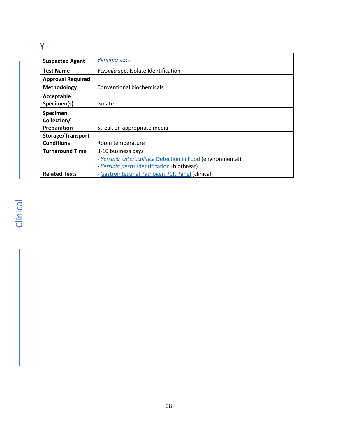#### <span id="page-37-0"></span>Y

<span id="page-37-1"></span>

| <b>Suspected Agent</b>   | Yersinia spp.                                                          |
|--------------------------|------------------------------------------------------------------------|
| <b>Test Name</b>         | Yersinia spp. Isolate Identification                                   |
| <b>Approval Required</b> |                                                                        |
| Methodology              | Conventional biochemicals                                              |
| Acceptable               |                                                                        |
| Specimen(s)              | <b>Isolate</b>                                                         |
| Specimen                 |                                                                        |
| Collection/              |                                                                        |
| Preparation              | Streak on appropriate media                                            |
| Storage/Transport        |                                                                        |
| <b>Conditions</b>        | Room temperature                                                       |
| <b>Turnaround Time</b>   | 3-10 business days                                                     |
|                          | - Yersinia enterocolitica Detection in Food (environmental)            |
|                          | Yersinia pestis Identification (biothreat)<br>$\overline{\phantom{0}}$ |
| <b>Related Tests</b>     | - Gastrointestinal Pathogen PCR Panel (clinical)                       |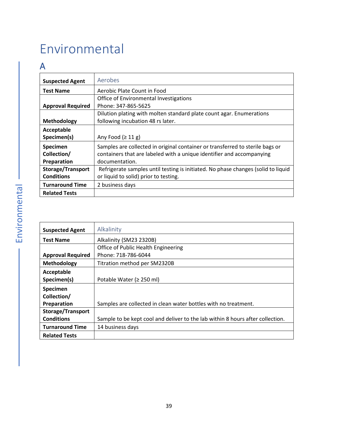# <span id="page-38-0"></span>Environmental

### <span id="page-38-1"></span>A

<span id="page-38-2"></span>

| <b>Suspected Agent</b>   | Aerobes                                                                           |
|--------------------------|-----------------------------------------------------------------------------------|
| <b>Test Name</b>         | Aerobic Plate Count in Food                                                       |
|                          | Office of Environmental Investigations                                            |
| <b>Approval Required</b> | Phone: 347-865-5625                                                               |
|                          | Dilution plating with molten standard plate count agar. Enumerations              |
| Methodology              | following incubation 48 rs later.                                                 |
| Acceptable               |                                                                                   |
| Specimen(s)              | Any Food $(≥ 11 g)$                                                               |
| Specimen                 | Samples are collected in original container or transferred to sterile bags or     |
| Collection/              | containers that are labeled with a unique identifier and accompanying             |
| Preparation              | documentation.                                                                    |
| <b>Storage/Transport</b> | Refrigerate samples until testing is initiated. No phase changes (solid to liquid |
| <b>Conditions</b>        | or liquid to solid) prior to testing.                                             |
| <b>Turnaround Time</b>   | 2 business days                                                                   |
| <b>Related Tests</b>     |                                                                                   |

<span id="page-38-3"></span>

| <b>Suspected Agent</b>   | Alkalinity                                                                     |
|--------------------------|--------------------------------------------------------------------------------|
| <b>Test Name</b>         | Alkalinity (SM23 2320B)                                                        |
|                          | Office of Public Health Engineering                                            |
| <b>Approval Required</b> | Phone: 718-786-6044                                                            |
| Methodology              | Titration method per SM2320B                                                   |
| Acceptable               |                                                                                |
| Specimen(s)              | Potable Water ( $\geq$ 250 ml)                                                 |
| Specimen                 |                                                                                |
| Collection/              |                                                                                |
| Preparation              | Samples are collected in clean water bottles with no treatment.                |
| <b>Storage/Transport</b> |                                                                                |
| <b>Conditions</b>        | Sample to be kept cool and deliver to the lab within 8 hours after collection. |
| <b>Turnaround Time</b>   | 14 business days                                                               |
| <b>Related Tests</b>     |                                                                                |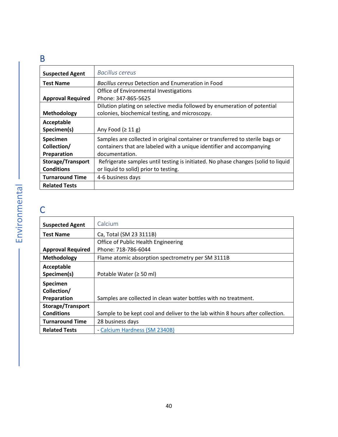### <span id="page-39-0"></span>B

<span id="page-39-1"></span>

| <b>Suspected Agent</b>   | <b>Bacillus cereus</b>                                                            |
|--------------------------|-----------------------------------------------------------------------------------|
| <b>Test Name</b>         | <b>Bacillus cereus Detection and Enumeration in Food</b>                          |
|                          | Office of Environmental Investigations                                            |
| <b>Approval Required</b> | Phone: 347-865-5625                                                               |
|                          | Dilution plating on selective media followed by enumeration of potential          |
| Methodology              | colonies, biochemical testing, and microscopy.                                    |
| Acceptable               |                                                                                   |
| Specimen(s)              | Any Food $(≥ 11 g)$                                                               |
| Specimen                 | Samples are collected in original container or transferred to sterile bags or     |
| Collection/              | containers that are labeled with a unique identifier and accompanying             |
| Preparation              | documentation.                                                                    |
| <b>Storage/Transport</b> | Refrigerate samples until testing is initiated. No phase changes (solid to liquid |
| <b>Conditions</b>        | or liquid to solid) prior to testing.                                             |
| <b>Turnaround Time</b>   | 4-6 business days                                                                 |
| <b>Related Tests</b>     |                                                                                   |

### <span id="page-39-2"></span>C

<span id="page-39-3"></span>

| <b>Suspected Agent</b>   | Calcium                                                                        |
|--------------------------|--------------------------------------------------------------------------------|
| <b>Test Name</b>         | Ca, Total (SM 23 3111B)                                                        |
|                          | Office of Public Health Engineering                                            |
| <b>Approval Required</b> | Phone: 718-786-6044                                                            |
| Methodology              | Flame atomic absorption spectrometry per SM 3111B                              |
| Acceptable               |                                                                                |
| Specimen(s)              | Potable Water ( $\geq$ 50 ml)                                                  |
| Specimen                 |                                                                                |
| Collection/              |                                                                                |
| Preparation              | Samples are collected in clean water bottles with no treatment.                |
| Storage/Transport        |                                                                                |
| <b>Conditions</b>        | Sample to be kept cool and deliver to the lab within 8 hours after collection. |
| <b>Turnaround Time</b>   | 28 business days                                                               |
| <b>Related Tests</b>     | - Calcium Hardness (SM 2340B)                                                  |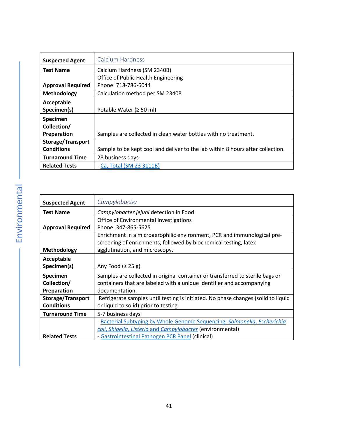<span id="page-40-0"></span>

| <b>Suspected Agent</b>   | Calcium Hardness                                                               |
|--------------------------|--------------------------------------------------------------------------------|
| <b>Test Name</b>         | Calcium Hardness (SM 2340B)                                                    |
|                          | Office of Public Health Engineering                                            |
| <b>Approval Required</b> | Phone: 718-786-6044                                                            |
| Methodology              | Calculation method per SM 2340B                                                |
| Acceptable               |                                                                                |
| Specimen(s)              | Potable Water ( $\geq$ 50 ml)                                                  |
| <b>Specimen</b>          |                                                                                |
| Collection/              |                                                                                |
| Preparation              | Samples are collected in clean water bottles with no treatment.                |
| Storage/Transport        |                                                                                |
| <b>Conditions</b>        | Sample to be kept cool and deliver to the lab within 8 hours after collection. |
| <b>Turnaround Time</b>   | 28 business days                                                               |
| <b>Related Tests</b>     | - Ca, Total (SM 23 3111B)                                                      |

<span id="page-40-1"></span>

| <b>Suspected Agent</b>   | Campylobacter                                                                     |
|--------------------------|-----------------------------------------------------------------------------------|
| <b>Test Name</b>         | Campylobacter jejuni detection in Food                                            |
|                          | Office of Environmental Investigations                                            |
| <b>Approval Required</b> | Phone: 347-865-5625                                                               |
|                          | Enrichment in a microaerophilic environment, PCR and immunological pre-           |
|                          | screening of enrichments, followed by biochemical testing, latex                  |
| <b>Methodology</b>       | agglutination, and microscopy.                                                    |
| Acceptable               |                                                                                   |
| Specimen(s)              | Any Food $(≥ 25 g)$                                                               |
| <b>Specimen</b>          | Samples are collected in original container or transferred to sterile bags or     |
| Collection/              | containers that are labeled with a unique identifier and accompanying             |
| Preparation              | documentation.                                                                    |
| Storage/Transport        | Refrigerate samples until testing is initiated. No phase changes (solid to liquid |
| <b>Conditions</b>        | or liquid to solid) prior to testing.                                             |
| <b>Turnaround Time</b>   | 5-7 business days                                                                 |
|                          | - Bacterial Subtyping by Whole Genome Sequencing: Salmonella, Escherichia         |
|                          | coli, Shigella, Listeria and Campylobacter (environmental)                        |
| <b>Related Tests</b>     | - Gastrointestinal Pathogen PCR Panel (clinical)                                  |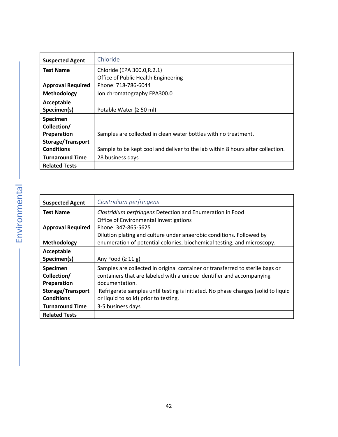<span id="page-41-0"></span>

| <b>Suspected Agent</b>   | Chloride                                                                       |
|--------------------------|--------------------------------------------------------------------------------|
| <b>Test Name</b>         | Chloride (EPA 300.0, R.2.1)                                                    |
|                          | Office of Public Health Engineering                                            |
| <b>Approval Required</b> | Phone: 718-786-6044                                                            |
| Methodology              | Ion chromatography EPA300.0                                                    |
| Acceptable               |                                                                                |
| Specimen(s)              | Potable Water ( $\geq$ 50 ml)                                                  |
| <b>Specimen</b>          |                                                                                |
| Collection/              |                                                                                |
| Preparation              | Samples are collected in clean water bottles with no treatment.                |
| <b>Storage/Transport</b> |                                                                                |
| <b>Conditions</b>        | Sample to be kept cool and deliver to the lab within 8 hours after collection. |
| <b>Turnaround Time</b>   | 28 business days                                                               |
| <b>Related Tests</b>     |                                                                                |

<span id="page-41-1"></span>

| <b>Suspected Agent</b>   | Clostridium perfringens                                                           |
|--------------------------|-----------------------------------------------------------------------------------|
| <b>Test Name</b>         | Clostridium perfringens Detection and Enumeration in Food                         |
|                          | Office of Environmental Investigations                                            |
| <b>Approval Required</b> | Phone: 347-865-5625                                                               |
|                          | Dilution plating and culture under anaerobic conditions. Followed by              |
| Methodology              | enumeration of potential colonies, biochemical testing, and microscopy.           |
| Acceptable               |                                                                                   |
| Specimen(s)              | Any Food $(≥ 11 g)$                                                               |
| Specimen                 | Samples are collected in original container or transferred to sterile bags or     |
| Collection/              | containers that are labeled with a unique identifier and accompanying             |
| Preparation              | documentation.                                                                    |
| <b>Storage/Transport</b> | Refrigerate samples until testing is initiated. No phase changes (solid to liquid |
| <b>Conditions</b>        | or liquid to solid) prior to testing.                                             |
| <b>Turnaround Time</b>   | 3-5 business days                                                                 |
| <b>Related Tests</b>     |                                                                                   |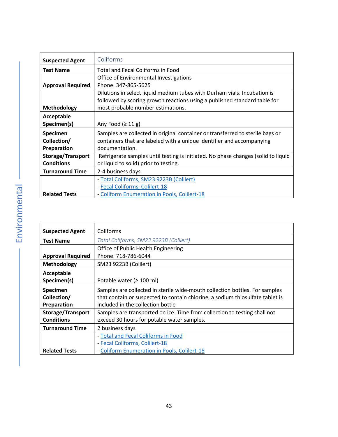<span id="page-42-0"></span>

| <b>Suspected Agent</b>   | Coliforms                                                                         |
|--------------------------|-----------------------------------------------------------------------------------|
| <b>Test Name</b>         | Total and Fecal Coliforms in Food                                                 |
|                          | Office of Environmental Investigations                                            |
| <b>Approval Required</b> | Phone: 347-865-5625                                                               |
|                          | Dilutions in select liquid medium tubes with Durham vials. Incubation is          |
|                          | followed by scoring growth reactions using a published standard table for         |
| <b>Methodology</b>       | most probable number estimations.                                                 |
| Acceptable               |                                                                                   |
| Specimen(s)              | Any Food $(≥ 11 g)$                                                               |
| Specimen                 | Samples are collected in original container or transferred to sterile bags or     |
| Collection/              | containers that are labeled with a unique identifier and accompanying             |
| Preparation              | documentation.                                                                    |
| <b>Storage/Transport</b> | Refrigerate samples until testing is initiated. No phase changes (solid to liquid |
| <b>Conditions</b>        | or liquid to solid) prior to testing.                                             |
| <b>Turnaround Time</b>   | 2-4 business days                                                                 |
|                          | - Total Coliforms, SM23 9223B (Colilert)                                          |
|                          | - Fecal Coliforms, Colilert-18                                                    |
| <b>Related Tests</b>     | - Coliform Enumeration in Pools, Colilert-18                                      |

<span id="page-42-1"></span>

| <b>Suspected Agent</b>   | Coliforms                                                                     |
|--------------------------|-------------------------------------------------------------------------------|
|                          |                                                                               |
| <b>Test Name</b>         | Total Coliforms, SM23 9223B (Colilert)                                        |
|                          | Office of Public Health Engineering                                           |
| <b>Approval Required</b> | Phone: 718-786-6044                                                           |
| Methodology              | SM23 9223B (Colilert)                                                         |
| Acceptable               |                                                                               |
| Specimen(s)              | Potable water ( $\geq 100$ ml)                                                |
| <b>Specimen</b>          | Samples are collected in sterile wide-mouth collection bottles. For samples   |
| Collection/              | that contain or suspected to contain chlorine, a sodium thiosulfate tablet is |
| Preparation              | included in the collection bottle                                             |
| <b>Storage/Transport</b> | Samples are transported on ice. Time from collection to testing shall not     |
| <b>Conditions</b>        | exceed 30 hours for potable water samples.                                    |
| <b>Turnaround Time</b>   | 2 business days                                                               |
|                          | - Total and Fecal Coliforms in Food                                           |
|                          | - Fecal Coliforms, Colilert-18                                                |
| <b>Related Tests</b>     | - Coliform Enumeration in Pools, Colilert-18                                  |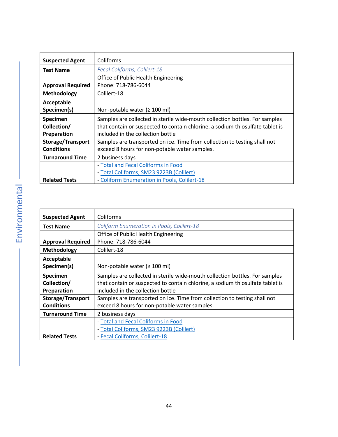<span id="page-43-0"></span>

| <b>Suspected Agent</b>   | Coliforms                                                                     |
|--------------------------|-------------------------------------------------------------------------------|
| <b>Test Name</b>         | Fecal Coliforms, Colilert-18                                                  |
|                          | Office of Public Health Engineering                                           |
| <b>Approval Required</b> | Phone: 718-786-6044                                                           |
| <b>Methodology</b>       | Colilert-18                                                                   |
| Acceptable               |                                                                               |
| Specimen(s)              | Non-potable water ( $\geq 100$ ml)                                            |
| Specimen                 | Samples are collected in sterile wide-mouth collection bottles. For samples   |
| Collection/              | that contain or suspected to contain chlorine, a sodium thiosulfate tablet is |
| Preparation              | included in the collection bottle                                             |
| <b>Storage/Transport</b> | Samples are transported on ice. Time from collection to testing shall not     |
| <b>Conditions</b>        | exceed 8 hours for non-potable water samples.                                 |
| <b>Turnaround Time</b>   | 2 business days                                                               |
|                          | - Total and Fecal Coliforms in Food                                           |
|                          | - Total Coliforms, SM23 9223B (Colilert)                                      |
| <b>Related Tests</b>     | - Coliform Enumeration in Pools, Colilert-18                                  |

Ĩ.

<span id="page-43-1"></span>

| <b>Suspected Agent</b>   | Coliforms                                                                     |
|--------------------------|-------------------------------------------------------------------------------|
| <b>Test Name</b>         | Coliform Enumeration in Pools, Colilert-18                                    |
|                          | Office of Public Health Engineering                                           |
| <b>Approval Required</b> | Phone: 718-786-6044                                                           |
| <b>Methodology</b>       | Colilert-18                                                                   |
| Acceptable               |                                                                               |
| Specimen(s)              | Non-potable water ( $\geq 100$ ml)                                            |
| Specimen                 | Samples are collected in sterile wide-mouth collection bottles. For samples   |
| Collection/              | that contain or suspected to contain chlorine, a sodium thiosulfate tablet is |
| Preparation              | included in the collection bottle                                             |
| Storage/Transport        | Samples are transported on ice. Time from collection to testing shall not     |
| <b>Conditions</b>        | exceed 8 hours for non-potable water samples.                                 |
| <b>Turnaround Time</b>   | 2 business days                                                               |
|                          | - Total and Fecal Coliforms in Food                                           |
|                          | - Total Coliforms, SM23 9223B (Colilert)                                      |
| <b>Related Tests</b>     | - Fecal Coliforms, Colilert-18                                                |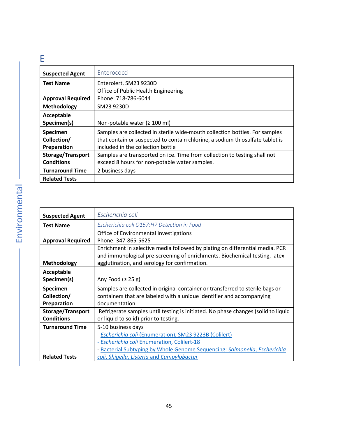### <span id="page-44-0"></span>E

<span id="page-44-1"></span>

| <b>Suspected Agent</b>   | Enterococci                                                                   |
|--------------------------|-------------------------------------------------------------------------------|
| <b>Test Name</b>         | Enterolert, SM23 9230D                                                        |
|                          | Office of Public Health Engineering                                           |
| <b>Approval Required</b> | Phone: 718-786-6044                                                           |
| Methodology              | SM23 9230D                                                                    |
| Acceptable               |                                                                               |
| Specimen(s)              | Non-potable water ( $\geq 100$ ml)                                            |
| <b>Specimen</b>          | Samples are collected in sterile wide-mouth collection bottles. For samples   |
| Collection/              | that contain or suspected to contain chlorine, a sodium thiosulfate tablet is |
| Preparation              | included in the collection bottle                                             |
| <b>Storage/Transport</b> | Samples are transported on ice. Time from collection to testing shall not     |
| <b>Conditions</b>        | exceed 8 hours for non-potable water samples.                                 |
| <b>Turnaround Time</b>   | 2 business days                                                               |
| <b>Related Tests</b>     |                                                                               |

<span id="page-44-2"></span>

| <b>Suspected Agent</b>   | Escherichia coli                                                                  |
|--------------------------|-----------------------------------------------------------------------------------|
| <b>Test Name</b>         | Escherichia coli O157:H7 Detection in Food                                        |
|                          | Office of Environmental Investigations                                            |
| <b>Approval Required</b> | Phone: 347-865-5625                                                               |
|                          | Enrichment in selective media followed by plating on differential media. PCR      |
|                          | and immunological pre-screening of enrichments. Biochemical testing, latex        |
| <b>Methodology</b>       | agglutination, and serology for confirmation.                                     |
| Acceptable               |                                                                                   |
| Specimen(s)              | Any Food $(2 25 g)$                                                               |
| Specimen                 | Samples are collected in original container or transferred to sterile bags or     |
| Collection/              | containers that are labeled with a unique identifier and accompanying             |
| Preparation              | documentation.                                                                    |
| <b>Storage/Transport</b> | Refrigerate samples until testing is initiated. No phase changes (solid to liquid |
| <b>Conditions</b>        | or liquid to solid) prior to testing.                                             |
| <b>Turnaround Time</b>   | 5-10 business days                                                                |
|                          | - Escherichia coli (Enumeration), SM23 9223B (Colilert)                           |
|                          | - Escherichia coli Enumeration, Colilert-18                                       |
|                          | - Bacterial Subtyping by Whole Genome Sequencing: Salmonella, Escherichia         |
| <b>Related Tests</b>     | coli, Shigella, Listeria and Campylobacter                                        |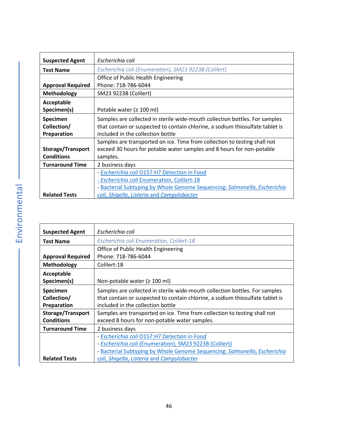<span id="page-45-0"></span>

| <b>Suspected Agent</b>   | Escherichia coli                                                              |
|--------------------------|-------------------------------------------------------------------------------|
| <b>Test Name</b>         | Escherichia coli (Enumeration), SM23 9223B (Colilert)                         |
|                          | Office of Public Health Engineering                                           |
| <b>Approval Required</b> | Phone: 718-786-6044                                                           |
| <b>Methodology</b>       | SM23 9223B (Colilert)                                                         |
| Acceptable               |                                                                               |
| Specimen(s)              | Potable water ( $\geq 100$ ml)                                                |
| Specimen                 | Samples are collected in sterile wide-mouth collection bottles. For samples   |
| Collection/              | that contain or suspected to contain chlorine, a sodium thiosulfate tablet is |
| Preparation              | included in the collection bottle                                             |
|                          | Samples are transported on ice. Time from collection to testing shall not     |
| <b>Storage/Transport</b> | exceed 30 hours for potable water samples and 8 hours for non-potable         |
| <b>Conditions</b>        | samples.                                                                      |
| <b>Turnaround Time</b>   | 2 business days                                                               |
|                          | - Escherichia coli O157:H7 Detection in Food                                  |
|                          | - Escherichia coli Enumeration, Colilert-18                                   |
|                          | - Bacterial Subtyping by Whole Genome Sequencing: Salmonella, Escherichia     |
| <b>Related Tests</b>     | coli, Shigella, Listeria and Campylobacter                                    |

<span id="page-45-1"></span>

| <b>Suspected Agent</b>   | Escherichia coli                                                              |
|--------------------------|-------------------------------------------------------------------------------|
| <b>Test Name</b>         | Escherichia coli Enumeration, Colilert-18                                     |
|                          | Office of Public Health Engineering                                           |
| <b>Approval Required</b> | Phone: 718-786-6044                                                           |
| Methodology              | Colilert-18                                                                   |
| Acceptable               |                                                                               |
| Specimen(s)              | Non-potable water ( $\geq 100$ ml)                                            |
| Specimen                 | Samples are collected in sterile wide-mouth collection bottles. For samples   |
| Collection/              | that contain or suspected to contain chlorine, a sodium thiosulfate tablet is |
| Preparation              | included in the collection bottle                                             |
| <b>Storage/Transport</b> | Samples are transported on ice. Time from collection to testing shall not     |
| <b>Conditions</b>        | exceed 8 hours for non-potable water samples.                                 |
| <b>Turnaround Time</b>   | 2 business days                                                               |
|                          | - Escherichia coli O157:H7 Detection in Food                                  |
|                          | - Escherichia coli (Enumeration), SM23 9223B (Colilert)                       |
|                          | - Bacterial Subtyping by Whole Genome Sequencing: Salmonella, Escherichia     |
| <b>Related Tests</b>     | coli, Shigella, Listeria and Campylobacter                                    |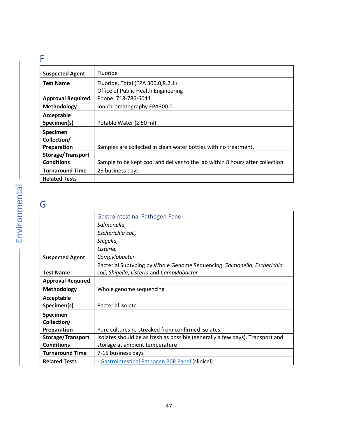### <span id="page-46-0"></span>F

<span id="page-46-1"></span>

| <b>Suspected Agent</b>   | Fluoride                                                                       |
|--------------------------|--------------------------------------------------------------------------------|
| <b>Test Name</b>         | Fluoride, Total (EPA 300.0, R.2.1)                                             |
|                          | Office of Public Health Engineering                                            |
| <b>Approval Required</b> | Phone: 718-786-6044                                                            |
| Methodology              | Ion chromatography EPA300.0                                                    |
| Acceptable               |                                                                                |
| Specimen(s)              | Potable Water ( $\geq$ 50 ml)                                                  |
| Specimen                 |                                                                                |
| Collection/              |                                                                                |
| Preparation              | Samples are collected in clean water bottles with no treatment.                |
| <b>Storage/Transport</b> |                                                                                |
| <b>Conditions</b>        | Sample to be kept cool and deliver to the lab within 8 hours after collection. |
| <b>Turnaround Time</b>   | 28 business days                                                               |
| <b>Related Tests</b>     |                                                                                |

## <span id="page-46-2"></span>G

<span id="page-46-3"></span>

|                          | Gastrointestinal Pathogen Panel                                               |
|--------------------------|-------------------------------------------------------------------------------|
|                          | Salmonella,                                                                   |
|                          | Escherichia coli,                                                             |
|                          | Shigella,                                                                     |
|                          | Listeria,                                                                     |
| <b>Suspected Agent</b>   | Campylobacter                                                                 |
|                          | Bacterial Subtyping by Whole Genome Sequencing: Salmonella, Escherichia       |
| <b>Test Name</b>         | coli, Shigella, Listeria and Campylobacter                                    |
| <b>Approval Required</b> |                                                                               |
| <b>Methodology</b>       | Whole genome sequencing                                                       |
| Acceptable               |                                                                               |
| Specimen(s)              | Bacterial isolate                                                             |
| Specimen                 |                                                                               |
| Collection/              |                                                                               |
| Preparation              | Pure cultures re-streaked from confirmed isolates                             |
| Storage/Transport        | Isolates should be as fresh as possible (generally a few days). Transport and |
| <b>Conditions</b>        | storage at ambient temperature                                                |
| <b>Turnaround Time</b>   | 7-15 business days                                                            |
| <b>Related Tests</b>     | - Gastrointestinal Pathogen PCR Panel (clinical)                              |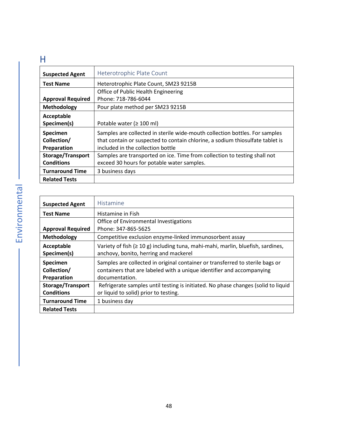### <span id="page-47-0"></span>H

<span id="page-47-1"></span>

| <b>Suspected Agent</b>   | Heterotrophic Plate Count                                                     |
|--------------------------|-------------------------------------------------------------------------------|
| <b>Test Name</b>         | Heterotrophic Plate Count, SM23 9215B                                         |
|                          | Office of Public Health Engineering                                           |
| <b>Approval Required</b> | Phone: 718-786-6044                                                           |
| Methodology              | Pour plate method per SM23 9215B                                              |
| Acceptable               |                                                                               |
| Specimen(s)              | Potable water ( $\geq 100$ ml)                                                |
| Specimen                 | Samples are collected in sterile wide-mouth collection bottles. For samples   |
| Collection/              | that contain or suspected to contain chlorine, a sodium thiosulfate tablet is |
| Preparation              | included in the collection bottle                                             |
| <b>Storage/Transport</b> | Samples are transported on ice. Time from collection to testing shall not     |
| <b>Conditions</b>        | exceed 30 hours for potable water samples.                                    |
| <b>Turnaround Time</b>   | 3 business days                                                               |
| <b>Related Tests</b>     |                                                                               |

<span id="page-47-2"></span>

| <b>Suspected Agent</b>   | Histamine                                                                         |
|--------------------------|-----------------------------------------------------------------------------------|
| <b>Test Name</b>         | Histamine in Fish                                                                 |
|                          | Office of Environmental Investigations                                            |
| <b>Approval Required</b> | Phone: 347-865-5625                                                               |
| Methodology              | Competitive exclusion enzyme-linked immunosorbent assay                           |
| Acceptable               | Variety of fish $(≥ 10 g)$ including tuna, mahi-mahi, marlin, bluefish, sardines, |
| Specimen(s)              | anchovy, bonito, herring and mackerel                                             |
| <b>Specimen</b>          | Samples are collected in original container or transferred to sterile bags or     |
| Collection/              | containers that are labeled with a unique identifier and accompanying             |
| Preparation              | documentation.                                                                    |
| <b>Storage/Transport</b> | Refrigerate samples until testing is initiated. No phase changes (solid to liquid |
| <b>Conditions</b>        | or liquid to solid) prior to testing.                                             |
| <b>Turnaround Time</b>   | 1 business day                                                                    |
| <b>Related Tests</b>     |                                                                                   |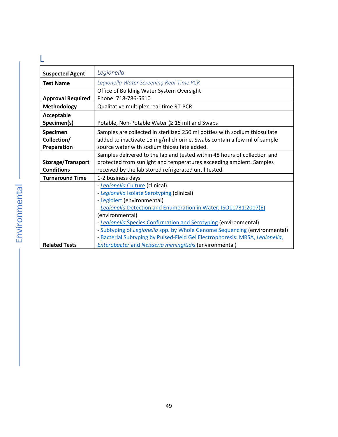<span id="page-48-1"></span><span id="page-48-0"></span>

| <b>Suspected Agent</b>   | Legionella                                                                   |
|--------------------------|------------------------------------------------------------------------------|
| <b>Test Name</b>         | Legionella Water Screening Real-Time PCR                                     |
|                          | Office of Building Water System Oversight                                    |
| <b>Approval Required</b> | Phone: 718-786-5610                                                          |
| <b>Methodology</b>       | Qualitative multiplex real-time RT-PCR                                       |
| Acceptable               |                                                                              |
| Specimen(s)              | Potable, Non-Potable Water (≥ 15 ml) and Swabs                               |
| Specimen                 | Samples are collected in sterilized 250 ml bottles with sodium thiosulfate   |
| Collection/              | added to inactivate 15 mg/ml chlorine. Swabs contain a few ml of sample      |
| Preparation              | source water with sodium thiosulfate added.                                  |
|                          | Samples delivered to the lab and tested within 48 hours of collection and    |
| Storage/Transport        | protected from sunlight and temperatures exceeding ambient. Samples          |
| <b>Conditions</b>        | received by the lab stored refrigerated until tested.                        |
| <b>Turnaround Time</b>   | 1-2 business days                                                            |
|                          | - Legionella Culture (clinical)                                              |
|                          | - Legionella Isolate Serotyping (clinical)                                   |
|                          | - Legiolert (environmental)                                                  |
|                          | - Legionella Detection and Enumeration in Water, ISO11731:2017(E)            |
|                          | (environmental)                                                              |
|                          | - Legionella Species Confirmation and Serotyping (environmental)             |
|                          | - Subtyping of Legionella spp. by Whole Genome Sequencing (environmental)    |
|                          | - Bacterial Subtyping by Pulsed-Field Gel Electrophoresis: MRSA, Legionella, |
| <b>Related Tests</b>     | <b>Enterobacter and Neisseria meningitidis (environmental)</b>               |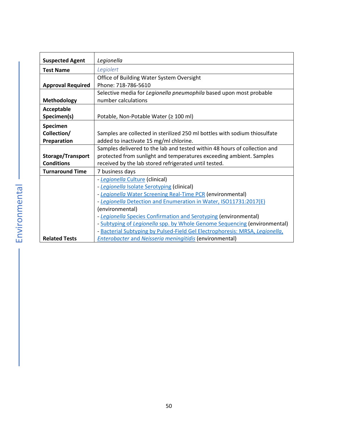<span id="page-49-0"></span>

| <b>Suspected Agent</b>   | Legionella                                                                   |
|--------------------------|------------------------------------------------------------------------------|
| <b>Test Name</b>         | Legiolert                                                                    |
|                          | Office of Building Water System Oversight                                    |
| <b>Approval Required</b> | Phone: 718-786-5610                                                          |
|                          | Selective media for Legionella pneumophila based upon most probable          |
| <b>Methodology</b>       | number calculations                                                          |
| Acceptable               |                                                                              |
| Specimen(s)              | Potable, Non-Potable Water (≥ 100 ml)                                        |
| Specimen                 |                                                                              |
| Collection/              | Samples are collected in sterilized 250 ml bottles with sodium thiosulfate   |
| Preparation              | added to inactivate 15 mg/ml chlorine.                                       |
|                          | Samples delivered to the lab and tested within 48 hours of collection and    |
| Storage/Transport        | protected from sunlight and temperatures exceeding ambient. Samples          |
| <b>Conditions</b>        | received by the lab stored refrigerated until tested.                        |
| <b>Turnaround Time</b>   | 7 business days                                                              |
|                          | - Legionella Culture (clinical)                                              |
|                          | - Legionella Isolate Serotyping (clinical)                                   |
|                          | - Legionella Water Screening Real-Time PCR (environmental)                   |
|                          | - Legionella Detection and Enumeration in Water, ISO11731:2017(E)            |
|                          | (environmental)                                                              |
|                          | - Legionella Species Confirmation and Serotyping (environmental)             |
|                          | - Subtyping of Legionella spp. by Whole Genome Sequencing (environmental)    |
|                          | - Bacterial Subtyping by Pulsed-Field Gel Electrophoresis: MRSA, Legionella, |
| <b>Related Tests</b>     | <b>Enterobacter and Neisseria meningitidis (environmental)</b>               |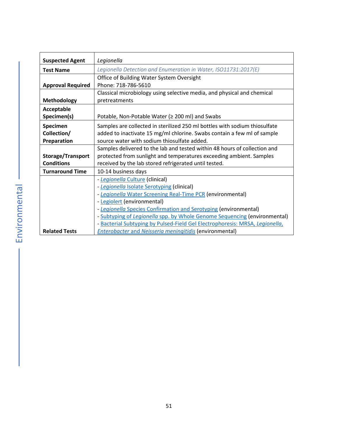<span id="page-50-0"></span>

| <b>Suspected Agent</b>   | Legionella                                                                   |
|--------------------------|------------------------------------------------------------------------------|
| <b>Test Name</b>         | Legionella Detection and Enumeration in Water, ISO11731:2017(E)              |
|                          | Office of Building Water System Oversight                                    |
| <b>Approval Required</b> | Phone: 718-786-5610                                                          |
|                          | Classical microbiology using selective media, and physical and chemical      |
| Methodology              | pretreatments                                                                |
| Acceptable               |                                                                              |
| Specimen(s)              | Potable, Non-Potable Water (≥ 200 ml) and Swabs                              |
| Specimen                 | Samples are collected in sterilized 250 ml bottles with sodium thiosulfate   |
| Collection/              | added to inactivate 15 mg/ml chlorine. Swabs contain a few ml of sample      |
| Preparation              | source water with sodium thiosulfate added.                                  |
|                          | Samples delivered to the lab and tested within 48 hours of collection and    |
| Storage/Transport        | protected from sunlight and temperatures exceeding ambient. Samples          |
| <b>Conditions</b>        | received by the lab stored refrigerated until tested.                        |
| <b>Turnaround Time</b>   | 10-14 business days                                                          |
|                          | - Legionella Culture (clinical)                                              |
|                          | - Legionella Isolate Serotyping (clinical)                                   |
|                          | - Legionella Water Screening Real-Time PCR (environmental)                   |
|                          | - Legiolert (environmental)                                                  |
|                          | - Legionella Species Confirmation and Serotyping (environmental)             |
|                          | - Subtyping of Legionella spp. by Whole Genome Sequencing (environmental)    |
|                          | - Bacterial Subtyping by Pulsed-Field Gel Electrophoresis: MRSA, Legionella, |
| <b>Related Tests</b>     | <b>Enterobacter and Neisseria meningitidis (environmental)</b>               |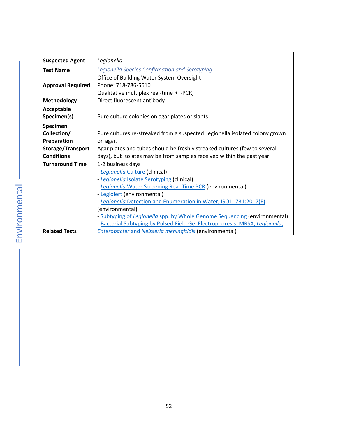<span id="page-51-0"></span>

| <b>Suspected Agent</b>   | Legionella                                                                   |
|--------------------------|------------------------------------------------------------------------------|
|                          | Legionella Species Confirmation and Serotyping                               |
| <b>Test Name</b>         |                                                                              |
|                          | Office of Building Water System Oversight                                    |
| <b>Approval Required</b> | Phone: 718-786-5610                                                          |
|                          | Qualitative multiplex real-time RT-PCR;                                      |
| Methodology              | Direct fluorescent antibody                                                  |
| Acceptable               |                                                                              |
| Specimen(s)              | Pure culture colonies on agar plates or slants                               |
| Specimen                 |                                                                              |
| Collection/              | Pure cultures re-streaked from a suspected Legionella isolated colony grown  |
| Preparation              | on agar.                                                                     |
| Storage/Transport        | Agar plates and tubes should be freshly streaked cultures (few to several    |
| <b>Conditions</b>        | days), but isolates may be from samples received within the past year.       |
| <b>Turnaround Time</b>   | 1-2 business days                                                            |
|                          | - Legionella Culture (clinical)                                              |
|                          | - Legionella Isolate Serotyping (clinical)                                   |
|                          | - Legionella Water Screening Real-Time PCR (environmental)                   |
|                          | - Legiolert (environmental)                                                  |
|                          | - Legionella Detection and Enumeration in Water, ISO11731:2017(E)            |
|                          | (environmental)                                                              |
|                          | - Subtyping of Legionella spp. by Whole Genome Sequencing (environmental)    |
|                          | - Bacterial Subtyping by Pulsed-Field Gel Electrophoresis: MRSA, Legionella, |
| <b>Related Tests</b>     | <b>Enterobacter and Neisseria meningitidis (environmental)</b>               |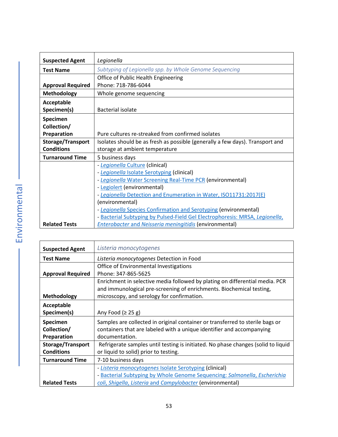<span id="page-52-1"></span>

| <b>Suspected Agent</b>   | Legionella                                                                    |
|--------------------------|-------------------------------------------------------------------------------|
| <b>Test Name</b>         | Subtyping of Legionella spp. by Whole Genome Sequencing                       |
|                          | Office of Public Health Engineering                                           |
| <b>Approval Required</b> | Phone: 718-786-6044                                                           |
| <b>Methodology</b>       | Whole genome sequencing                                                       |
| Acceptable               |                                                                               |
| Specimen(s)              | Bacterial isolate                                                             |
| Specimen                 |                                                                               |
| Collection/              |                                                                               |
| Preparation              | Pure cultures re-streaked from confirmed isolates                             |
| Storage/Transport        | Isolates should be as fresh as possible (generally a few days). Transport and |
| <b>Conditions</b>        | storage at ambient temperature                                                |
| <b>Turnaround Time</b>   | 5 business days                                                               |
|                          | - Legionella Culture (clinical)                                               |
|                          | - Legionella Isolate Serotyping (clinical)                                    |
|                          | - Legionella Water Screening Real-Time PCR (environmental)                    |
|                          | - Legiolert (environmental)                                                   |
|                          | - Legionella Detection and Enumeration in Water, ISO11731:2017(E)             |
|                          | (environmental)                                                               |
|                          | - Legionella Species Confirmation and Serotyping (environmental)              |
|                          | - Bacterial Subtyping by Pulsed-Field Gel Electrophoresis: MRSA, Legionella,  |
| <b>Related Tests</b>     | <b>Enterobacter and Neisseria meningitidis (environmental)</b>                |

<span id="page-52-0"></span>

| <b>Suspected Agent</b>   | Listeria monocytogenes                                                                                                                               |
|--------------------------|------------------------------------------------------------------------------------------------------------------------------------------------------|
| <b>Test Name</b>         | Listeria monocytogenes Detection in Food                                                                                                             |
|                          | Office of Environmental Investigations                                                                                                               |
| <b>Approval Required</b> | Phone: 347-865-5625                                                                                                                                  |
|                          | Enrichment in selective media followed by plating on differential media. PCR<br>and immunological pre-screening of enrichments. Biochemical testing, |
| <b>Methodology</b>       | microscopy, and serology for confirmation.                                                                                                           |
| Acceptable               |                                                                                                                                                      |
| Specimen(s)              | Any Food $(2 25 g)$                                                                                                                                  |
| Specimen                 | Samples are collected in original container or transferred to sterile bags or                                                                        |
| Collection/              | containers that are labeled with a unique identifier and accompanying                                                                                |
| Preparation              | documentation.                                                                                                                                       |
| Storage/Transport        | Refrigerate samples until testing is initiated. No phase changes (solid to liquid                                                                    |
| <b>Conditions</b>        | or liquid to solid) prior to testing.                                                                                                                |
| <b>Turnaround Time</b>   | 7-10 business days                                                                                                                                   |
|                          | - Listeria monocytogenes Isolate Serotyping (clinical)                                                                                               |
|                          | - Bacterial Subtyping by Whole Genome Sequencing: Salmonella, Escherichia                                                                            |
| <b>Related Tests</b>     | coli, Shigella, Listeria and Campylobacter (environmental)                                                                                           |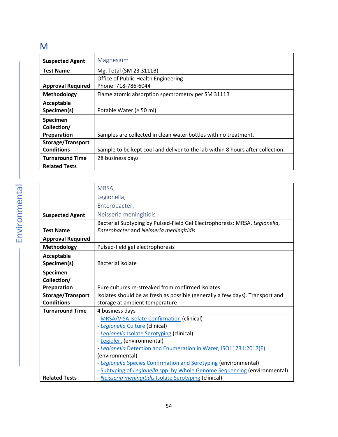### <span id="page-53-0"></span>M

<span id="page-53-1"></span>

| <b>Suspected Agent</b>   | Magnesium                                                                      |
|--------------------------|--------------------------------------------------------------------------------|
| <b>Test Name</b>         | Mg, Total (SM 23 3111B)                                                        |
|                          | Office of Public Health Engineering                                            |
| <b>Approval Required</b> | Phone: 718-786-6044                                                            |
| Methodology              | Flame atomic absorption spectrometry per SM 3111B                              |
| Acceptable               |                                                                                |
| Specimen(s)              | Potable Water ( $\geq$ 50 ml)                                                  |
| Specimen                 |                                                                                |
| Collection/              |                                                                                |
| Preparation              | Samples are collected in clean water bottles with no treatment.                |
| <b>Storage/Transport</b> |                                                                                |
| <b>Conditions</b>        | Sample to be kept cool and deliver to the lab within 8 hours after collection. |
| <b>Turnaround Time</b>   | 28 business days                                                               |
| <b>Related Tests</b>     |                                                                                |

<span id="page-53-2"></span>

|                          | MRSA,                                                                         |
|--------------------------|-------------------------------------------------------------------------------|
|                          | Legionella,                                                                   |
|                          | Enterobacter,                                                                 |
| <b>Suspected Agent</b>   | Neisseria meningitidis                                                        |
|                          | Bacterial Subtyping by Pulsed-Field Gel Electrophoresis: MRSA, Legionella,    |
| <b>Test Name</b>         | Enterobacter and Neisseria meningitidis                                       |
| <b>Approval Required</b> |                                                                               |
| <b>Methodology</b>       | Pulsed-field gel electrophoresis                                              |
| Acceptable               |                                                                               |
| Specimen(s)              | <b>Bacterial isolate</b>                                                      |
| Specimen                 |                                                                               |
| Collection/              |                                                                               |
| Preparation              | Pure cultures re-streaked from confirmed isolates                             |
| Storage/Transport        | Isolates should be as fresh as possible (generally a few days). Transport and |
| <b>Conditions</b>        | storage at ambient temperature                                                |
| <b>Turnaround Time</b>   | 4 business days                                                               |
|                          | - MRSA/VISA Isolate Confirmation (clinical)                                   |
|                          | - Legionella Culture (clinical)                                               |
|                          | - Legionella Isolate Serotyping (clinical)                                    |
|                          | - Legiolert (environmental)                                                   |
|                          | - Legionella Detection and Enumeration in Water, ISO11731:2017(E)             |
|                          | (environmental)                                                               |
|                          | - Legionella Species Confirmation and Serotyping (environmental)              |
|                          | - Subtyping of Legionella spp. by Whole Genome Sequencing (environmental)     |
| <b>Related Tests</b>     | - Neisseria meningitidis Isolate Serotyping (clinical)                        |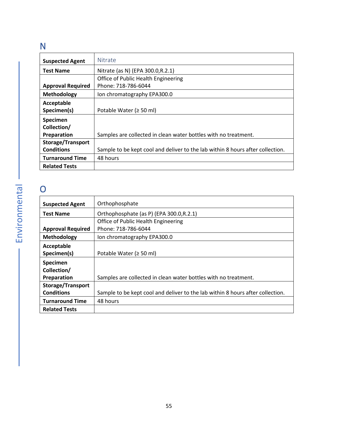### <span id="page-54-0"></span>N

<span id="page-54-1"></span>

| <b>Suspected Agent</b>   | Nitrate                                                                        |
|--------------------------|--------------------------------------------------------------------------------|
| <b>Test Name</b>         | Nitrate (as N) (EPA 300.0, R.2.1)                                              |
|                          | Office of Public Health Engineering                                            |
| <b>Approval Required</b> | Phone: 718-786-6044                                                            |
| Methodology              | Ion chromatography EPA300.0                                                    |
| Acceptable               |                                                                                |
| Specimen(s)              | Potable Water ( $\geq$ 50 ml)                                                  |
| <b>Specimen</b>          |                                                                                |
| Collection/              |                                                                                |
| Preparation              | Samples are collected in clean water bottles with no treatment.                |
| <b>Storage/Transport</b> |                                                                                |
| <b>Conditions</b>        | Sample to be kept cool and deliver to the lab within 8 hours after collection. |
| <b>Turnaround Time</b>   | 48 hours                                                                       |
| <b>Related Tests</b>     |                                                                                |

### <span id="page-54-2"></span>O

<span id="page-54-3"></span>

| <b>Suspected Agent</b>   | Orthophosphate                                                                 |
|--------------------------|--------------------------------------------------------------------------------|
| <b>Test Name</b>         | Orthophosphate (as P) (EPA 300.0, R.2.1)                                       |
|                          | Office of Public Health Engineering                                            |
| <b>Approval Required</b> | Phone: 718-786-6044                                                            |
| Methodology              | Ion chromatography EPA300.0                                                    |
| Acceptable               |                                                                                |
| Specimen(s)              | Potable Water ( $\geq$ 50 ml)                                                  |
| Specimen                 |                                                                                |
| Collection/              |                                                                                |
| Preparation              | Samples are collected in clean water bottles with no treatment.                |
| <b>Storage/Transport</b> |                                                                                |
| <b>Conditions</b>        | Sample to be kept cool and deliver to the lab within 8 hours after collection. |
| <b>Turnaround Time</b>   | 48 hours                                                                       |
| <b>Related Tests</b>     |                                                                                |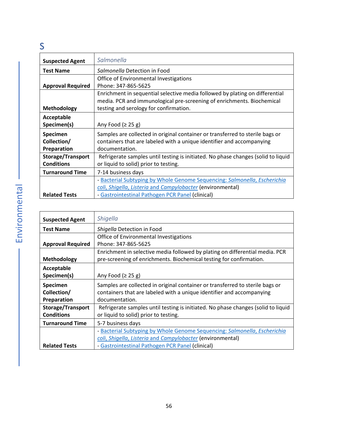### <span id="page-55-0"></span>S

<span id="page-55-1"></span>

| <b>Suspected Agent</b>   | Salmonella                                                                        |
|--------------------------|-----------------------------------------------------------------------------------|
| <b>Test Name</b>         | Salmonella Detection in Food                                                      |
|                          | Office of Environmental Investigations                                            |
| <b>Approval Required</b> | Phone: 347-865-5625                                                               |
|                          | Enrichment in sequential selective media followed by plating on differential      |
|                          | media. PCR and immunological pre-screening of enrichments. Biochemical            |
| <b>Methodology</b>       | testing and serology for confirmation.                                            |
| Acceptable               |                                                                                   |
| Specimen(s)              | Any Food $(≥ 25 g)$                                                               |
| <b>Specimen</b>          | Samples are collected in original container or transferred to sterile bags or     |
| Collection/              | containers that are labeled with a unique identifier and accompanying             |
| Preparation              | documentation.                                                                    |
| Storage/Transport        | Refrigerate samples until testing is initiated. No phase changes (solid to liquid |
| <b>Conditions</b>        | or liquid to solid) prior to testing.                                             |
| <b>Turnaround Time</b>   | 7-14 business days                                                                |
|                          | - Bacterial Subtyping by Whole Genome Sequencing: Salmonella, Escherichia         |
|                          | coli, Shigella, Listeria and Campylobacter (environmental)                        |
| <b>Related Tests</b>     | - Gastrointestinal Pathogen PCR Panel (clinical)                                  |

<span id="page-55-2"></span>

| <b>Suspected Agent</b>   | Shigella                                                                          |
|--------------------------|-----------------------------------------------------------------------------------|
| <b>Test Name</b>         | Shigella Detection in Food                                                        |
|                          | Office of Environmental Investigations                                            |
| <b>Approval Required</b> | Phone: 347-865-5625                                                               |
|                          | Enrichment in selective media followed by plating on differential media. PCR      |
| <b>Methodology</b>       | pre-screening of enrichments. Biochemical testing for confirmation.               |
| Acceptable               |                                                                                   |
| Specimen(s)              | Any Food $(2 25 g)$                                                               |
| Specimen                 | Samples are collected in original container or transferred to sterile bags or     |
| Collection/              | containers that are labeled with a unique identifier and accompanying             |
| Preparation              | documentation.                                                                    |
| Storage/Transport        | Refrigerate samples until testing is initiated. No phase changes (solid to liquid |
| <b>Conditions</b>        | or liquid to solid) prior to testing.                                             |
| <b>Turnaround Time</b>   | 5-7 business days                                                                 |
|                          | - Bacterial Subtyping by Whole Genome Sequencing: Salmonella, Escherichia         |
|                          | coli, Shigella, Listeria and Campylobacter (environmental)                        |
| <b>Related Tests</b>     | - Gastrointestinal Pathogen PCR Panel (clinical)                                  |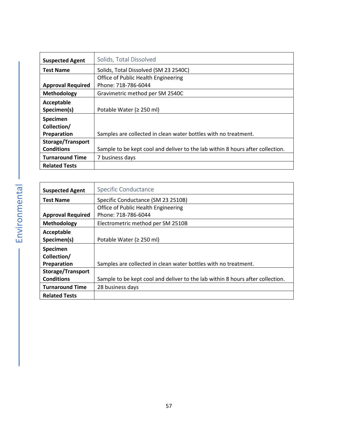<span id="page-56-0"></span>

| <b>Suspected Agent</b>   | Solids, Total Dissolved                                                        |
|--------------------------|--------------------------------------------------------------------------------|
| <b>Test Name</b>         | Solids, Total Dissolved (SM 23 2540C)                                          |
|                          | Office of Public Health Engineering                                            |
| <b>Approval Required</b> | Phone: 718-786-6044                                                            |
| Methodology              | Gravimetric method per SM 2540C                                                |
| Acceptable               |                                                                                |
| Specimen(s)              | Potable Water ( $\geq$ 250 ml)                                                 |
| Specimen                 |                                                                                |
| Collection/              |                                                                                |
| Preparation              | Samples are collected in clean water bottles with no treatment.                |
| <b>Storage/Transport</b> |                                                                                |
| <b>Conditions</b>        | Sample to be kept cool and deliver to the lab within 8 hours after collection. |
| <b>Turnaround Time</b>   | 7 business days                                                                |
| <b>Related Tests</b>     |                                                                                |

<span id="page-56-1"></span>

| <b>Suspected Agent</b>   | Specific Conductance                                                           |
|--------------------------|--------------------------------------------------------------------------------|
| <b>Test Name</b>         | Specific Conductance (SM 23 2510B)                                             |
|                          | Office of Public Health Engineering                                            |
| <b>Approval Required</b> | Phone: 718-786-6044                                                            |
| Methodology              | Electrometric method per SM 2510B                                              |
| Acceptable               |                                                                                |
| Specimen(s)              | Potable Water ( $\geq$ 250 ml)                                                 |
| Specimen                 |                                                                                |
| Collection/              |                                                                                |
| Preparation              | Samples are collected in clean water bottles with no treatment.                |
| <b>Storage/Transport</b> |                                                                                |
| <b>Conditions</b>        | Sample to be kept cool and deliver to the lab within 8 hours after collection. |
| <b>Turnaround Time</b>   | 28 business days                                                               |
| <b>Related Tests</b>     |                                                                                |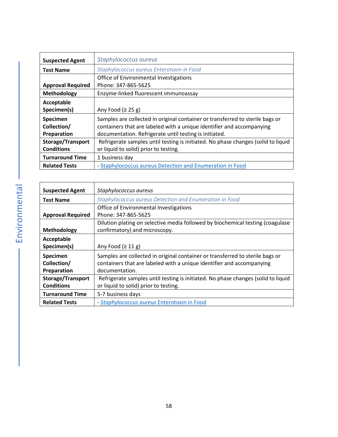<span id="page-57-0"></span>

| <b>Suspected Agent</b>   | Staphylococcus aureus                                                             |
|--------------------------|-----------------------------------------------------------------------------------|
| <b>Test Name</b>         | Staphylococcus aureus Enterotoxin in Food                                         |
|                          | Office of Environmental Investigations                                            |
| <b>Approval Required</b> | Phone: 347-865-5625                                                               |
| Methodology              | Enzyme-linked fluorescent immunoassay                                             |
| Acceptable               |                                                                                   |
| Specimen(s)              | Any Food $(≥ 25 g)$                                                               |
| Specimen                 | Samples are collected in original container or transferred to sterile bags or     |
| Collection/              | containers that are labeled with a unique identifier and accompanying             |
| Preparation              | documentation. Refrigerate until testing is initiated.                            |
| <b>Storage/Transport</b> | Refrigerate samples until testing is initiated. No phase changes (solid to liquid |
| <b>Conditions</b>        | or liquid to solid) prior to testing.                                             |
| <b>Turnaround Time</b>   | 1 business day                                                                    |
| <b>Related Tests</b>     | - Staphylococcus aureus Detection and Enumeration in Food                         |

<span id="page-57-1"></span>

| <b>Suspected Agent</b>   | Staphylococcus aureus                                                             |
|--------------------------|-----------------------------------------------------------------------------------|
| <b>Test Name</b>         | Staphylococcus aureus Detection and Enumeration in Food                           |
|                          | Office of Environmental Investigations                                            |
| <b>Approval Required</b> | Phone: 347-865-5625                                                               |
|                          | Dilution plating on selective media followed by biochemical testing (coagulase    |
| Methodology              | confirmatory) and microscopy.                                                     |
| Acceptable               |                                                                                   |
| Specimen(s)              | Any Food $(≥ 11 g)$                                                               |
| Specimen                 | Samples are collected in original container or transferred to sterile bags or     |
| Collection/              | containers that are labeled with a unique identifier and accompanying             |
| Preparation              | documentation.                                                                    |
| <b>Storage/Transport</b> | Refrigerate samples until testing is initiated. No phase changes (solid to liquid |
| <b>Conditions</b>        | or liquid to solid) prior to testing.                                             |
| <b>Turnaround Time</b>   | 5-7 business days                                                                 |
| <b>Related Tests</b>     | - Staphylococcus aureus Enterotoxin in Food                                       |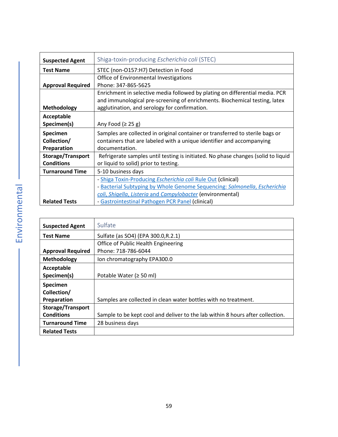<span id="page-58-0"></span>

| <b>Suspected Agent</b>   | Shiga-toxin-producing <i>Escherichia coli</i> (STEC)                                                                                                       |
|--------------------------|------------------------------------------------------------------------------------------------------------------------------------------------------------|
| <b>Test Name</b>         | STEC (non-O157:H7) Detection in Food                                                                                                                       |
|                          | Office of Environmental Investigations                                                                                                                     |
| <b>Approval Required</b> | Phone: 347-865-5625                                                                                                                                        |
|                          | Enrichment in selective media followed by plating on differential media. PCR<br>and immunological pre-screening of enrichments. Biochemical testing, latex |
| <b>Methodology</b>       | agglutination, and serology for confirmation.                                                                                                              |
| Acceptable               |                                                                                                                                                            |
| Specimen(s)              | Any Food $(2 25 g)$                                                                                                                                        |
| Specimen                 | Samples are collected in original container or transferred to sterile bags or                                                                              |
| Collection/              | containers that are labeled with a unique identifier and accompanying                                                                                      |
| Preparation              | documentation.                                                                                                                                             |
| <b>Storage/Transport</b> | Refrigerate samples until testing is initiated. No phase changes (solid to liquid                                                                          |
| <b>Conditions</b>        | or liquid to solid) prior to testing.                                                                                                                      |
| <b>Turnaround Time</b>   | 5-10 business days                                                                                                                                         |
|                          | - Shiga Toxin-Producing Escherichia coli Rule Out (clinical)                                                                                               |
|                          | - Bacterial Subtyping by Whole Genome Sequencing: Salmonella, Escherichia                                                                                  |
|                          | coli, Shigella, Listeria and Campylobacter (environmental)                                                                                                 |
| <b>Related Tests</b>     | - Gastrointestinal Pathogen PCR Panel (clinical)                                                                                                           |

<span id="page-58-1"></span>

| <b>Suspected Agent</b>   | Sulfate                                                                        |
|--------------------------|--------------------------------------------------------------------------------|
| <b>Test Name</b>         | Sulfate (as SO4) (EPA 300.0, R.2.1)                                            |
|                          | Office of Public Health Engineering                                            |
| <b>Approval Required</b> | Phone: 718-786-6044                                                            |
| Methodology              | Ion chromatography EPA300.0                                                    |
| Acceptable               |                                                                                |
| Specimen(s)              | Potable Water ( $\geq$ 50 ml)                                                  |
| <b>Specimen</b>          |                                                                                |
| Collection/              |                                                                                |
| Preparation              | Samples are collected in clean water bottles with no treatment.                |
| <b>Storage/Transport</b> |                                                                                |
| <b>Conditions</b>        | Sample to be kept cool and deliver to the lab within 8 hours after collection. |
| <b>Turnaround Time</b>   | 28 business days                                                               |
| <b>Related Tests</b>     |                                                                                |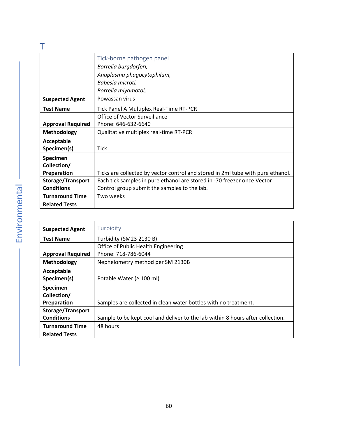<span id="page-59-1"></span><span id="page-59-0"></span>

|                          | Tick-borne pathogen panel                                                       |
|--------------------------|---------------------------------------------------------------------------------|
|                          | Borrelia burgdorferi,                                                           |
|                          | Anaplasma phagocytophilum,                                                      |
|                          | Babesia microti,                                                                |
|                          | Borrelia miyamotoi,                                                             |
| <b>Suspected Agent</b>   | Powassan virus                                                                  |
| <b>Test Name</b>         | Tick Panel A Multiplex Real-Time RT-PCR                                         |
|                          | Office of Vector Surveillance                                                   |
| <b>Approval Required</b> | Phone: 646-632-6640                                                             |
| <b>Methodology</b>       | Qualitative multiplex real-time RT-PCR                                          |
| Acceptable               |                                                                                 |
| Specimen(s)              | <b>Tick</b>                                                                     |
| Specimen                 |                                                                                 |
| Collection/              |                                                                                 |
| Preparation              | Ticks are collected by vector control and stored in 2ml tube with pure ethanol. |
| Storage/Transport        | Each tick samples in pure ethanol are stored in -70 freezer once Vector         |
| <b>Conditions</b>        | Control group submit the samples to the lab.                                    |
| <b>Turnaround Time</b>   | Two weeks                                                                       |
| <b>Related Tests</b>     |                                                                                 |

<span id="page-59-2"></span>

| <b>Suspected Agent</b>   | Turbidity                                                                      |
|--------------------------|--------------------------------------------------------------------------------|
| <b>Test Name</b>         | Turbidity (SM23 2130 B)                                                        |
|                          | Office of Public Health Engineering                                            |
| <b>Approval Required</b> | Phone: 718-786-6044                                                            |
| Methodology              | Nephelometry method per SM 2130B                                               |
| Acceptable               |                                                                                |
| Specimen(s)              | Potable Water ( $\geq 100$ ml)                                                 |
| <b>Specimen</b>          |                                                                                |
| Collection/              |                                                                                |
| Preparation              | Samples are collected in clean water bottles with no treatment.                |
| <b>Storage/Transport</b> |                                                                                |
| <b>Conditions</b>        | Sample to be kept cool and deliver to the lab within 8 hours after collection. |
| <b>Turnaround Time</b>   | 48 hours                                                                       |
| <b>Related Tests</b>     |                                                                                |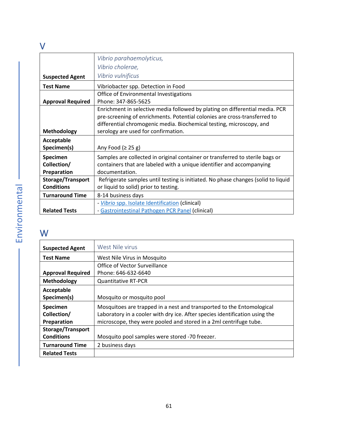#### <span id="page-60-0"></span>V

<span id="page-60-1"></span>

|                          | Vibrio parahaemolyticus,                                                          |
|--------------------------|-----------------------------------------------------------------------------------|
|                          | Vibrio cholerae,                                                                  |
| <b>Suspected Agent</b>   | Vibrio vulnificus                                                                 |
| <b>Test Name</b>         | Vibriobacter spp. Detection in Food                                               |
|                          | Office of Environmental Investigations                                            |
| <b>Approval Required</b> | Phone: 347-865-5625                                                               |
|                          | Enrichment in selective media followed by plating on differential media. PCR      |
|                          | pre-screening of enrichments. Potential colonies are cross-transferred to         |
|                          | differential chromogenic media. Biochemical testing, microscopy, and              |
| <b>Methodology</b>       | serology are used for confirmation.                                               |
| Acceptable               |                                                                                   |
| Specimen(s)              | Any Food $(≥ 25 g)$                                                               |
| Specimen                 | Samples are collected in original container or transferred to sterile bags or     |
| Collection/              | containers that are labeled with a unique identifier and accompanying             |
| Preparation              | documentation.                                                                    |
| Storage/Transport        | Refrigerate samples until testing is initiated. No phase changes (solid to liquid |
| <b>Conditions</b>        | or liquid to solid) prior to testing.                                             |
| <b>Turnaround Time</b>   | 8-14 business days                                                                |
|                          | - Vibrio spp. Isolate Identification (clinical)                                   |
| <b>Related Tests</b>     | - Gastrointestinal Pathogen PCR Panel (clinical)                                  |

### <span id="page-60-2"></span>W

<span id="page-60-3"></span>

|                          | West Nile virus                                                             |
|--------------------------|-----------------------------------------------------------------------------|
| <b>Suspected Agent</b>   |                                                                             |
| <b>Test Name</b>         | West Nile Virus in Mosquito                                                 |
|                          | Office of Vector Surveillance                                               |
| <b>Approval Required</b> | Phone: 646-632-6640                                                         |
| Methodology              | <b>Quantitative RT-PCR</b>                                                  |
| Acceptable               |                                                                             |
| Specimen(s)              | Mosquito or mosquito pool                                                   |
| Specimen                 | Mosquitoes are trapped in a nest and transported to the Entomological       |
| Collection/              | Laboratory in a cooler with dry ice. After species identification using the |
| Preparation              | microscope, they were pooled and stored in a 2ml centrifuge tube.           |
| <b>Storage/Transport</b> |                                                                             |
| <b>Conditions</b>        | Mosquito pool samples were stored -70 freezer.                              |
| <b>Turnaround Time</b>   | 2 business days                                                             |
| <b>Related Tests</b>     |                                                                             |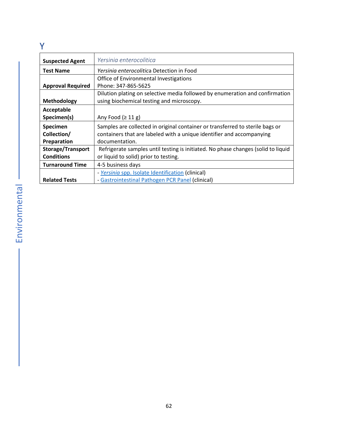#### <span id="page-61-0"></span>Y

<span id="page-61-1"></span>

| <b>Suspected Agent</b>   | Yersinia enterocolitica                                                           |
|--------------------------|-----------------------------------------------------------------------------------|
| <b>Test Name</b>         | <i>Yersinig enterocolitica Detection in Food</i>                                  |
|                          | Office of Environmental Investigations                                            |
| <b>Approval Required</b> | Phone: 347-865-5625                                                               |
|                          | Dilution plating on selective media followed by enumeration and confirmation      |
| <b>Methodology</b>       | using biochemical testing and microscopy.                                         |
| Acceptable               |                                                                                   |
| Specimen(s)              | Any Food $(≥ 11 g)$                                                               |
| Specimen                 | Samples are collected in original container or transferred to sterile bags or     |
| Collection/              | containers that are labeled with a unique identifier and accompanying             |
| Preparation              | documentation.                                                                    |
| <b>Storage/Transport</b> | Refrigerate samples until testing is initiated. No phase changes (solid to liquid |
| <b>Conditions</b>        | or liquid to solid) prior to testing.                                             |
| <b>Turnaround Time</b>   | 4-5 business days                                                                 |
|                          | - Yersinia spp. Isolate Identification (clinical)                                 |
| <b>Related Tests</b>     | - Gastrointestinal Pathogen PCR Panel (clinical)                                  |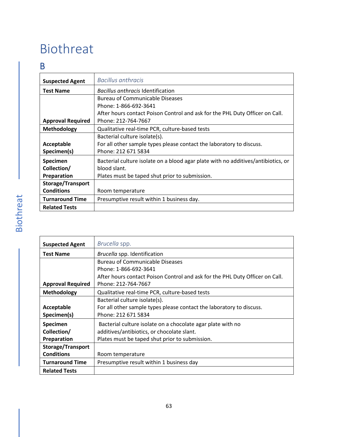# <span id="page-62-0"></span>Biothreat

#### <span id="page-62-1"></span>B

<span id="page-62-2"></span>

| <b>Suspected Agent</b>   | <b>Bacillus anthracis</b>                                                         |
|--------------------------|-----------------------------------------------------------------------------------|
| <b>Test Name</b>         | Bacillus anthracis Identification                                                 |
|                          | <b>Bureau of Communicable Diseases</b>                                            |
|                          | Phone: 1-866-692-3641                                                             |
|                          | After hours contact Poison Control and ask for the PHL Duty Officer on Call.      |
| <b>Approval Required</b> | Phone: 212-764-7667                                                               |
| <b>Methodology</b>       | Qualitative real-time PCR, culture-based tests                                    |
|                          | Bacterial culture isolate(s).                                                     |
| Acceptable               | For all other sample types please contact the laboratory to discuss.              |
| Specimen(s)              | Phone: 212 671 5834                                                               |
| <b>Specimen</b>          | Bacterial culture isolate on a blood agar plate with no additives/antibiotics, or |
| Collection/              | blood slant.                                                                      |
| Preparation              | Plates must be taped shut prior to submission.                                    |
| <b>Storage/Transport</b> |                                                                                   |
| <b>Conditions</b>        | Room temperature                                                                  |
| <b>Turnaround Time</b>   | Presumptive result within 1 business day.                                         |
| <b>Related Tests</b>     |                                                                                   |

<span id="page-62-3"></span>

| <b>Suspected Agent</b>   | Brucella spp.                                                                |
|--------------------------|------------------------------------------------------------------------------|
| <b>Test Name</b>         | Brucella spp. Identification                                                 |
|                          | Bureau of Communicable Diseases                                              |
|                          | Phone: 1-866-692-3641                                                        |
|                          | After hours contact Poison Control and ask for the PHL Duty Officer on Call. |
| <b>Approval Required</b> | Phone: 212-764-7667                                                          |
| Methodology              | Qualitative real-time PCR, culture-based tests                               |
|                          | Bacterial culture isolate(s).                                                |
| Acceptable               | For all other sample types please contact the laboratory to discuss.         |
| Specimen(s)              | Phone: 212 671 5834                                                          |
| Specimen                 | Bacterial culture isolate on a chocolate agar plate with no                  |
| Collection/              | additives/antibiotics, or chocolate slant.                                   |
| Preparation              | Plates must be taped shut prior to submission.                               |
| <b>Storage/Transport</b> |                                                                              |
| <b>Conditions</b>        | Room temperature                                                             |
| <b>Turnaround Time</b>   | Presumptive result within 1 business day                                     |
| <b>Related Tests</b>     |                                                                              |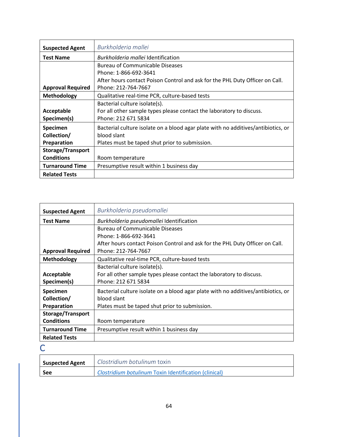<span id="page-63-0"></span>

| <b>Suspected Agent</b>   | Burkholderia mallei                                                               |
|--------------------------|-----------------------------------------------------------------------------------|
| <b>Test Name</b>         | <i>Burkholderig mallei</i> Identification                                         |
|                          | <b>Bureau of Communicable Diseases</b>                                            |
|                          | Phone: 1-866-692-3641                                                             |
|                          | After hours contact Poison Control and ask for the PHL Duty Officer on Call.      |
| <b>Approval Required</b> | Phone: 212-764-7667                                                               |
| Methodology              | Qualitative real-time PCR, culture-based tests                                    |
|                          | Bacterial culture isolate(s).                                                     |
| Acceptable               | For all other sample types please contact the laboratory to discuss.              |
| Specimen(s)              | Phone: 212 671 5834                                                               |
| Specimen                 | Bacterial culture isolate on a blood agar plate with no additives/antibiotics, or |
| Collection/              | blood slant                                                                       |
| Preparation              | Plates must be taped shut prior to submission.                                    |
| <b>Storage/Transport</b> |                                                                                   |
| <b>Conditions</b>        | Room temperature                                                                  |
| <b>Turnaround Time</b>   | Presumptive result within 1 business day                                          |
| <b>Related Tests</b>     |                                                                                   |

<span id="page-63-1"></span>

| <b>Suspected Agent</b>   | Burkholderia pseudomallei                                                         |
|--------------------------|-----------------------------------------------------------------------------------|
| <b>Test Name</b>         | Burkholderia pseudomallei Identification                                          |
|                          | <b>Bureau of Communicable Diseases</b>                                            |
|                          | Phone: 1-866-692-3641                                                             |
|                          | After hours contact Poison Control and ask for the PHL Duty Officer on Call.      |
| <b>Approval Required</b> | Phone: 212-764-7667                                                               |
| <b>Methodology</b>       | Qualitative real-time PCR, culture-based tests                                    |
|                          | Bacterial culture isolate(s).                                                     |
| Acceptable               | For all other sample types please contact the laboratory to discuss.              |
| Specimen(s)              | Phone: 212 671 5834                                                               |
| <b>Specimen</b>          | Bacterial culture isolate on a blood agar plate with no additives/antibiotics, or |
| Collection/              | blood slant                                                                       |
| Preparation              | Plates must be taped shut prior to submission.                                    |
| <b>Storage/Transport</b> |                                                                                   |
| <b>Conditions</b>        | Room temperature                                                                  |
| <b>Turnaround Time</b>   | Presumptive result within 1 business day                                          |
| <b>Related Tests</b>     |                                                                                   |

<span id="page-63-2"></span> $\overline{C}$ 

<span id="page-63-3"></span>

| <b>Suspected Agent</b> | Clostridium botulinum toxin                           |
|------------------------|-------------------------------------------------------|
| See                    | Clostridium botulinum Toxin Identification (clinical) |